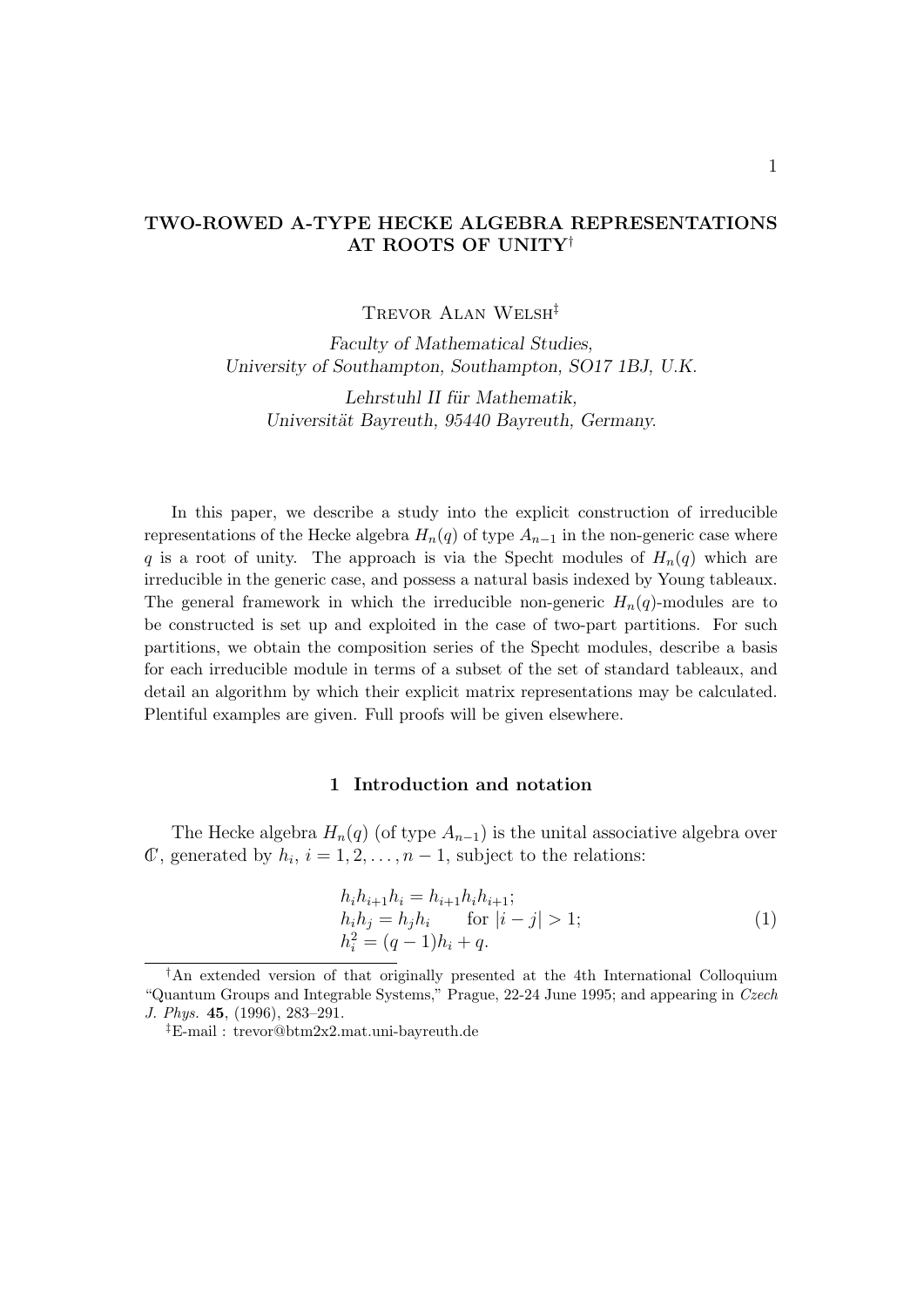## TWO-ROWED A-TYPE HECKE ALGEBRA REPRESENTATIONS AT ROOTS OF UNITY†

Trevor Alan Welsh‡

Faculty of Mathematical Studies, University of Southampton, Southampton, SO17 1BJ, U.K.

Lehrstuhl II für Mathematik, Universität Bayreuth, 95440 Bayreuth, Germany.

In this paper, we describe a study into the explicit construction of irreducible representations of the Hecke algebra  $H_n(q)$  of type  $A_{n-1}$  in the non-generic case where q is a root of unity. The approach is via the Specht modules of  $H_n(q)$  which are irreducible in the generic case, and possess a natural basis indexed by Young tableaux. The general framework in which the irreducible non-generic  $H_n(q)$ -modules are to be constructed is set up and exploited in the case of two-part partitions. For such partitions, we obtain the composition series of the Specht modules, describe a basis for each irreducible module in terms of a subset of the set of standard tableaux, and detail an algorithm by which their explicit matrix representations may be calculated. Plentiful examples are given. Full proofs will be given elsewhere.

### 1 Introduction and notation

The Hecke algebra  $H_n(q)$  (of type  $A_{n-1}$ ) is the unital associative algebra over  $\mathbb{C}$ , generated by  $h_i$ ,  $i = 1, 2, \ldots, n - 1$ , subject to the relations:

$$
h_i h_{i+1} h_i = h_{i+1} h_i h_{i+1};
$$
  
\n
$$
h_i h_j = h_j h_i \quad \text{for } |i - j| > 1;
$$
  
\n
$$
h_i^2 = (q - 1)h_i + q.
$$
\n(1)

<sup>†</sup>An extended version of that originally presented at the 4th International Colloquium "Quantum Groups and Integrable Systems," Prague, 22-24 June 1995; and appearing in Czech J. Phys. 45, (1996), 283–291.

<sup>‡</sup>E-mail : trevor@btm2x2.mat.uni-bayreuth.de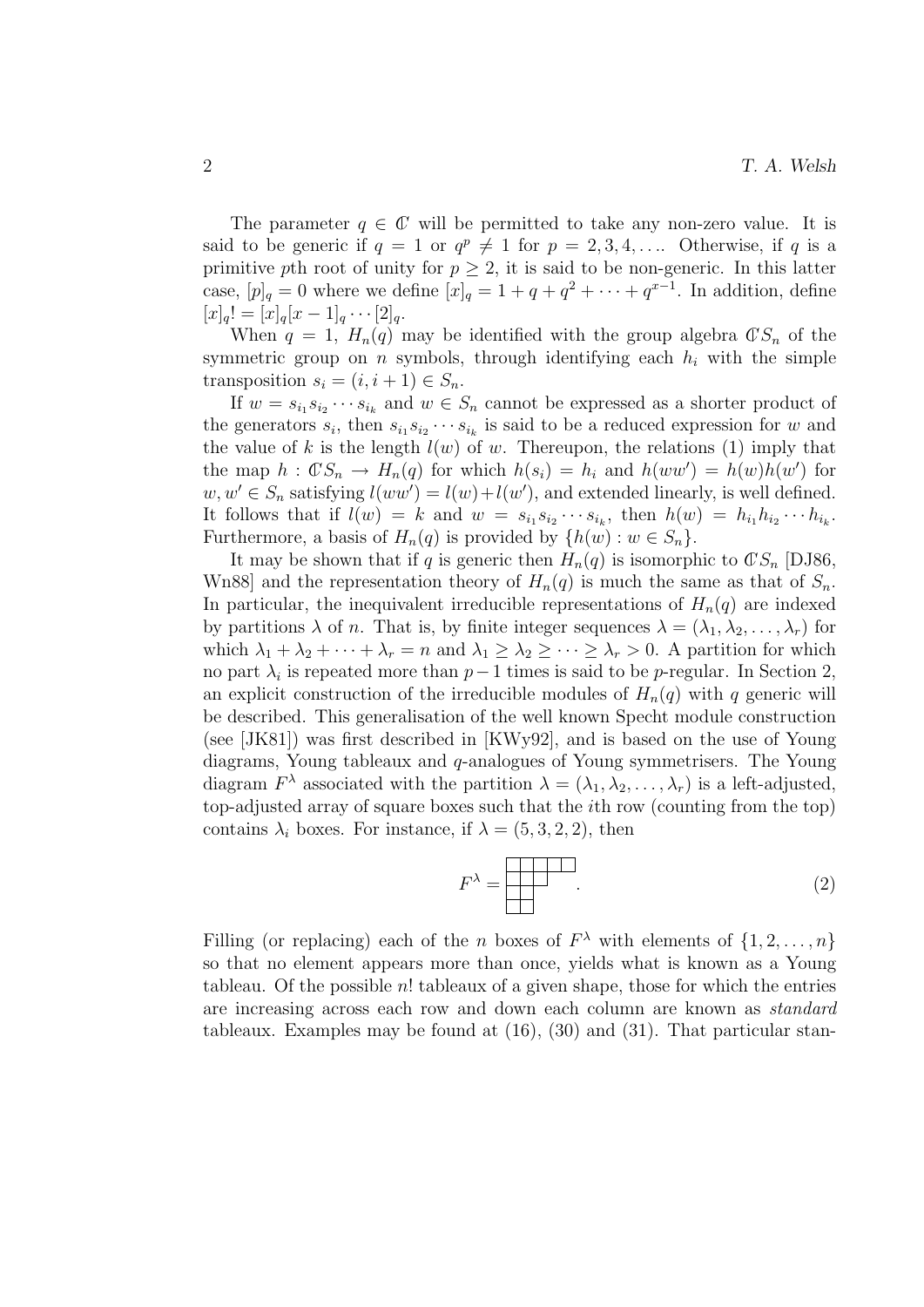The parameter  $q \in \mathbb{C}$  will be permitted to take any non-zero value. It is said to be generic if  $q = 1$  or  $q^p \neq 1$  for  $p = 2, 3, 4, \ldots$  Otherwise, if q is a primitive pth root of unity for  $p \geq 2$ , it is said to be non-generic. In this latter case,  $[p]_q = 0$  where we define  $[x]_q = 1 + q + q^2 + \cdots + q^{x-1}$ . In addition, define  $[x]_q! = [x]_q[x-1]_q \cdots [2]_q.$ 

When  $q = 1$ ,  $H_n(q)$  may be identified with the group algebra  $\mathbb{C}S_n$  of the symmetric group on *n* symbols, through identifying each  $h_i$  with the simple transposition  $s_i = (i, i + 1) \in S_n$ .

If  $w = s_{i_1} s_{i_2} \cdots s_{i_k}$  and  $w \in S_n$  cannot be expressed as a shorter product of the generators  $s_i$ , then  $s_{i_1} s_{i_2} \cdots s_{i_k}$  is said to be a reduced expression for w and the value of k is the length  $l(w)$  of w. Thereupon, the relations (1) imply that the map  $h: \mathbb{C}S_n \to H_n(q)$  for which  $h(s_i) = h_i$  and  $h(ww') = h(w)h(w')$  for  $w, w' \in S_n$  satisfying  $l(ww') = l(w) + l(w')$ , and extended linearly, is well defined. It follows that if  $l(w) = k$  and  $w = s_{i_1} s_{i_2} \cdots s_{i_k}$ , then  $h(w) = h_{i_1} h_{i_2} \cdots h_{i_k}$ . Furthermore, a basis of  $H_n(q)$  is provided by  $\{h(w): w \in S_n\}.$ 

It may be shown that if q is generic then  $H_n(q)$  is isomorphic to  $\mathbb{C}S_n$  [DJ86, Wn88] and the representation theory of  $H_n(q)$  is much the same as that of  $S_n$ . In particular, the inequivalent irreducible representations of  $H_n(q)$  are indexed by partitions  $\lambda$  of n. That is, by finite integer sequences  $\lambda = (\lambda_1, \lambda_2, \ldots, \lambda_r)$  for which  $\lambda_1 + \lambda_2 + \cdots + \lambda_r = n$  and  $\lambda_1 \geq \lambda_2 \geq \cdots \geq \lambda_r > 0$ . A partition for which no part  $\lambda_i$  is repeated more than  $p-1$  times is said to be p-regular. In Section 2, an explicit construction of the irreducible modules of  $H_n(q)$  with q generic will be described. This generalisation of the well known Specht module construction (see [JK81]) was first described in [KWy92], and is based on the use of Young diagrams, Young tableaux and q-analogues of Young symmetrisers. The Young diagram  $F^{\lambda}$  associated with the partition  $\lambda = (\lambda_1, \lambda_2, \dots, \lambda_r)$  is a left-adjusted, top-adjusted array of square boxes such that the ith row (counting from the top) contains  $\lambda_i$  boxes. For instance, if  $\lambda = (5, 3, 2, 2)$ , then

$$
F^{\lambda} = \boxed{\begin{array}{|c|c|c|} \hline \text{1} & \text{1} & \text{1} \\ \hline \text{2} & \text{2} & \text{3} \\ \hline \text{3} & \text{4} & \text{4} \\ \hline \text{4} & \text{5} & \text{5} \\ \hline \text{5} & \text{6} & \text{6} \\ \hline \text{6} & \text{7} & \text{6} \\ \hline \text{7} & \text{8} & \text{7} \\ \hline \text{8} & \text{9} & \text{8} \\ \hline \text{9} & \text{1} & \text{1} \\ \hline \text{10} & \text{10} & \text{10} \\ \hline \text{11} & \text{11} & \text{12} \\ \hline \text{12} & \text{13} & \text{14} \\ \hline \text{13} & \text{16} & \text{15} \\ \hline \text{14} & \text{16} & \text{16} \\ \hline \text{15} & \text{16} & \text{16} \\ \hline \text{16} & \text{16} & \text{16} \\ \hline \text{17} & \text{18} & \text{18} \\ \hline \text{18} & \text{19} & \text{19} \\ \hline \text{19} & \text{19} & \text{19} \\ \hline \text{19} & \text{19} & \text{19} \\ \hline \text{10} & \text{19} & \text{19} \\ \hline \text{11} & \text{19} & \text{19} \\ \hline \text{12} & \text{19} & \text{19} \\ \hline \text{13} & \text{19} & \text{19} \\ \hline \text{16} & \text{19} & \text{19} \\ \hline \text{17} & \text{19} & \text{19} \\ \hline \text{18} & \text{19} & \text{19} \\ \hline \text{19} & \text{19} & \text{19} \\ \hline \text{19} & \text{19} & \text{19} \\ \hline \text{19} & \text{19} & \text{19} \\ \hline \text{10} & \text{19} & \text{19} \\ \hline \text{11} & \text{19} & \text{1
$$

Filling (or replacing) each of the *n* boxes of  $F^{\lambda}$  with elements of  $\{1, 2, ..., n\}$ so that no element appears more than once, yields what is known as a Young tableau. Of the possible  $n!$  tableaux of a given shape, those for which the entries are increasing across each row and down each column are known as standard tableaux. Examples may be found at (16), (30) and (31). That particular stan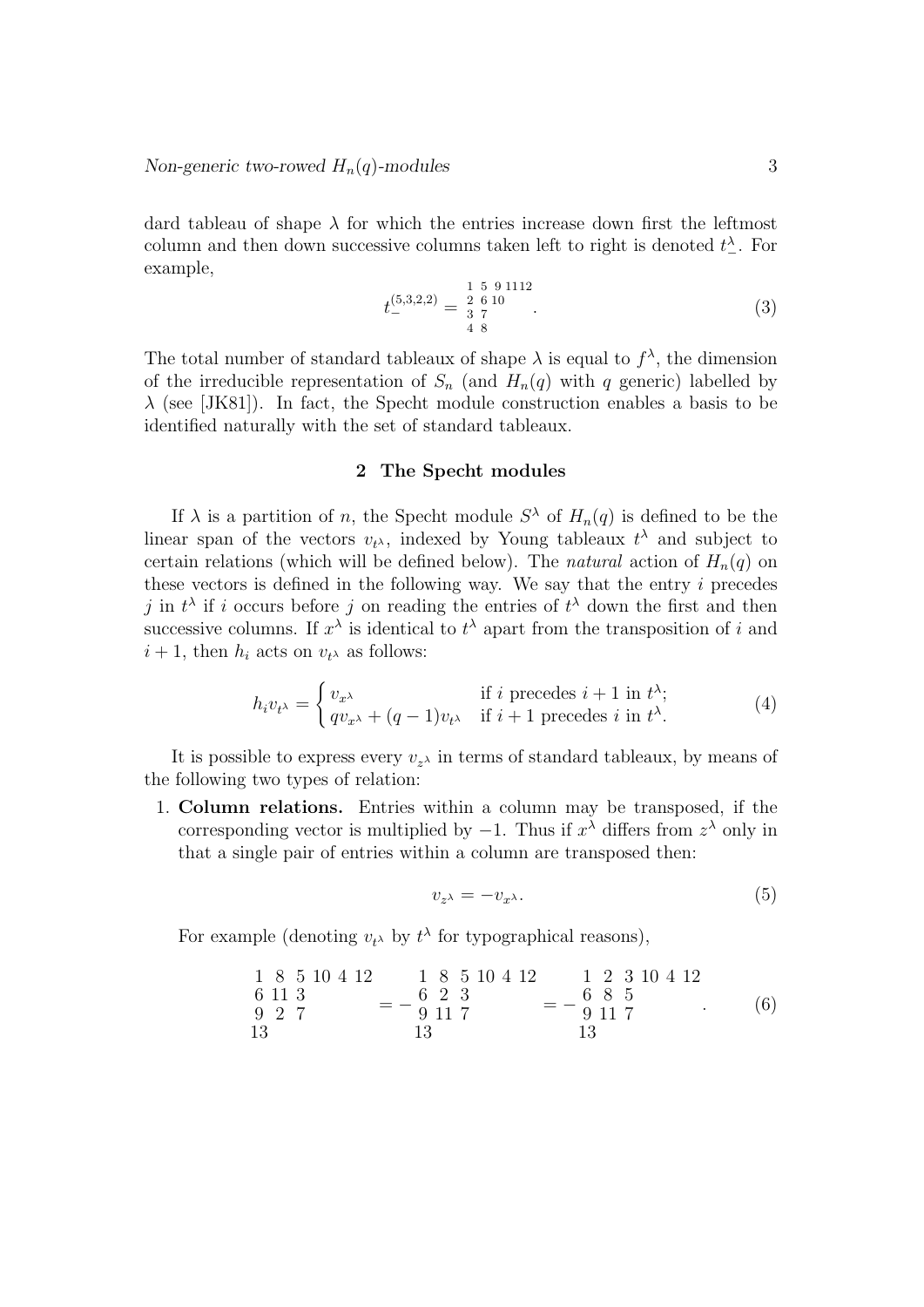dard tableau of shape  $\lambda$  for which the entries increase down first the leftmost column and then down successive columns taken left to right is denoted  $t^{\lambda}_{-}$ . For example,

$$
t_{-}^{(5,3,2,2)} = \begin{array}{c} 1 \ 5 \ 9 \ 1112 \\ 2 \ 6 \ 10 \\ 4 \ 8 \end{array} . \tag{3}
$$

The total number of standard tableaux of shape  $\lambda$  is equal to  $f^{\lambda}$ , the dimension of the irreducible representation of  $S_n$  (and  $H_n(q)$  with q generic) labelled by  $\lambda$  (see [JK81]). In fact, the Specht module construction enables a basis to be identified naturally with the set of standard tableaux.

### 2 The Specht modules

If  $\lambda$  is a partition of n, the Specht module  $S^{\lambda}$  of  $H_n(q)$  is defined to be the linear span of the vectors  $v_{t^{\lambda}}$ , indexed by Young tableaux  $t^{\lambda}$  and subject to certain relations (which will be defined below). The *natural* action of  $H_n(q)$  on these vectors is defined in the following way. We say that the entry  $i$  precedes j in  $t^{\lambda}$  if i occurs before j on reading the entries of  $t^{\lambda}$  down the first and then successive columns. If  $x^{\lambda}$  is identical to  $t^{\lambda}$  apart from the transposition of i and  $i + 1$ , then  $h_i$  acts on  $v_{t^{\lambda}}$  as follows:

$$
h_i v_{t^{\lambda}} = \begin{cases} v_{x^{\lambda}} & \text{if } i \text{ precedes } i+1 \text{ in } t^{\lambda}; \\ q v_{x^{\lambda}} + (q-1)v_{t^{\lambda}} & \text{if } i+1 \text{ precedes } i \text{ in } t^{\lambda}. \end{cases}
$$
(4)

It is possible to express every  $v_{z}$  in terms of standard tableaux, by means of the following two types of relation:

1. Column relations. Entries within a column may be transposed, if the corresponding vector is multiplied by  $-1$ . Thus if  $x^{\lambda}$  differs from  $z^{\lambda}$  only in that a single pair of entries within a column are transposed then:

$$
v_{z^{\lambda}} = -v_{x^{\lambda}}.\tag{5}
$$

For example (denoting  $v_t$  by  $t^{\lambda}$  for typographical reasons),

$$
\begin{array}{rcl}\n1 & 8 & 5 & 10 & 4 & 12 \\
6 & 11 & 3 & \\
9 & 2 & 7 & \\
13 & & 13 & \\
\end{array} = -\begin{array}{rcl}\n1 & 8 & 5 & 10 & 4 & 12 \\
6 & 2 & 3 & \\
9 & 11 & 7 & \\
13 & & 13 & \\
\end{array} = -\begin{array}{rcl}\n1 & 2 & 3 & 10 & 4 & 12 \\
6 & 8 & 5 & \\
9 & 11 & 7 & \\
13 & & 13 & \\
\end{array} \tag{6}
$$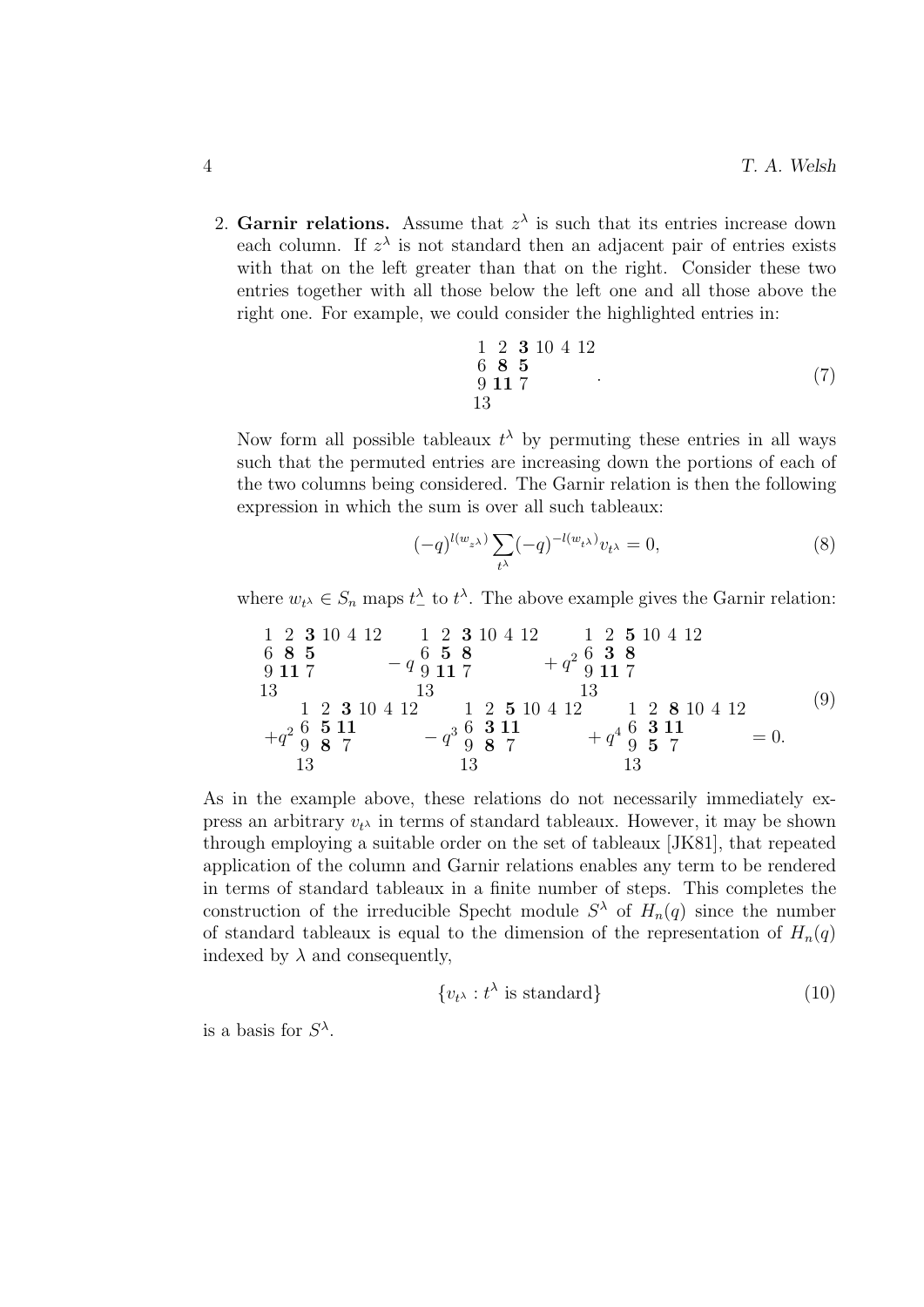2. Garnir relations. Assume that  $z^{\lambda}$  is such that its entries increase down each column. If  $z^{\lambda}$  is not standard then an adjacent pair of entries exists with that on the left greater than that on the right. Consider these two entries together with all those below the left one and all those above the right one. For example, we could consider the highlighted entries in:

1 2 3 10 4 12 6 8 5 9 11 7 13 . (7)

Now form all possible tableaux  $t^{\lambda}$  by permuting these entries in all ways such that the permuted entries are increasing down the portions of each of the two columns being considered. The Garnir relation is then the following expression in which the sum is over all such tableaux:

$$
(-q)^{l(w_{z^{\lambda}})} \sum_{t^{\lambda}} (-q)^{-l(w_{t^{\lambda}})} v_{t^{\lambda}} = 0,
$$
\n(8)

where  $w_{t^{\lambda}} \in S_n$  maps  $t^{\lambda}_{-}$  to  $t^{\lambda}$ . The above example gives the Garnir relation:

1 2 3 10 4 12 6 8 5 9 11 7 13 − q 1 2 3 10 4 12 6 5 8 9 11 7 13 + q 2 1 2 5 10 4 12 6 3 8 9 11 7 13 +q 2 1 2 3 10 4 12 6 5 11 9 8 7 13 − q 3 1 2 5 10 4 12 6 3 11 9 8 7 13 + q 4 1 2 8 10 4 12 6 3 11 9 5 7 13 = 0. (9)

As in the example above, these relations do not necessarily immediately express an arbitrary  $v_t$  in terms of standard tableaux. However, it may be shown through employing a suitable order on the set of tableaux [JK81], that repeated application of the column and Garnir relations enables any term to be rendered in terms of standard tableaux in a finite number of steps. This completes the construction of the irreducible Specht module  $S^{\lambda}$  of  $H_n(q)$  since the number of standard tableaux is equal to the dimension of the representation of  $H_n(q)$ indexed by  $\lambda$  and consequently,

$$
\{v_{t^{\lambda}} : t^{\lambda} \text{ is standard}\}\tag{10}
$$

is a basis for  $S^{\lambda}$ .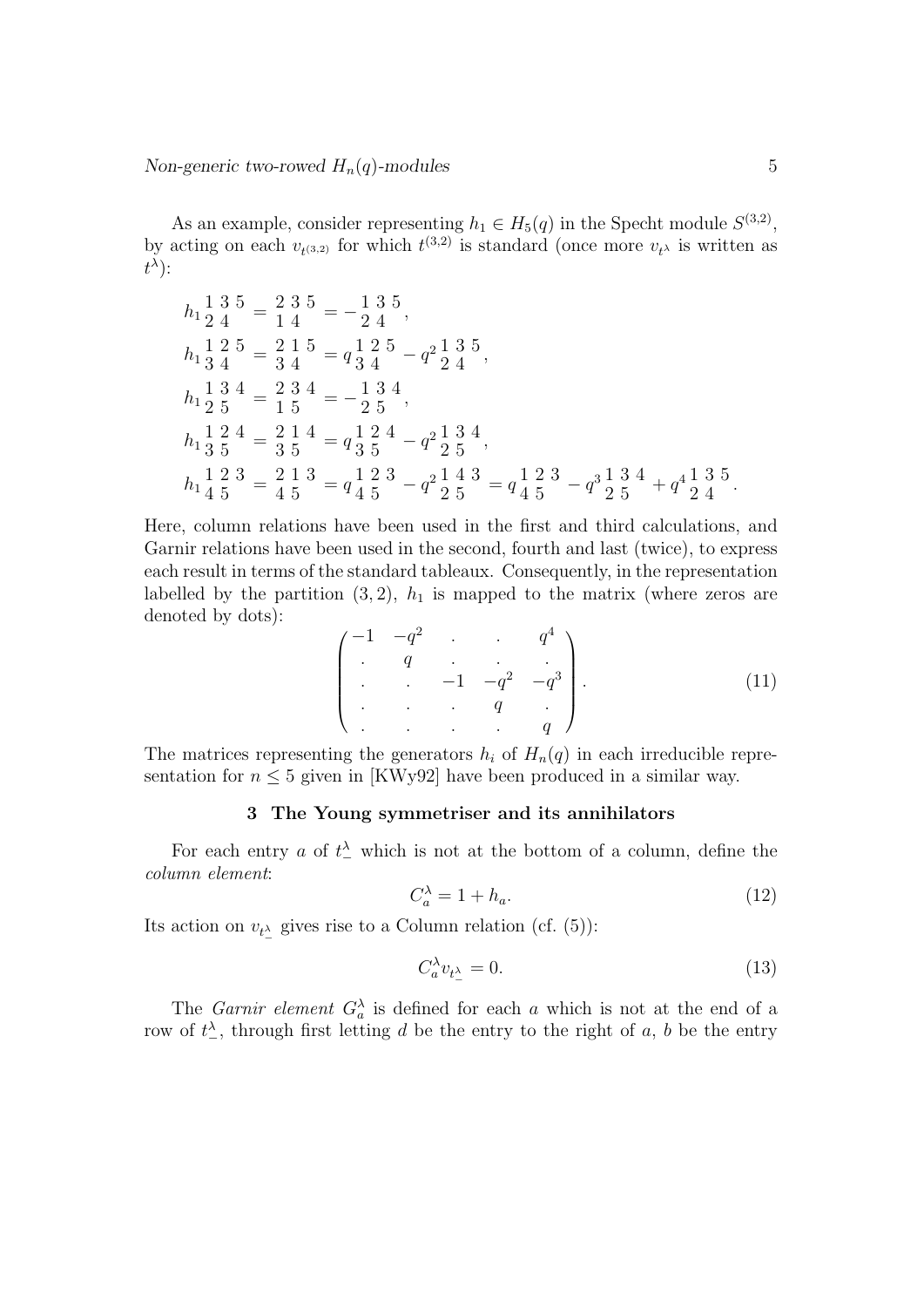As an example, consider representing  $h_1 \in H_5(q)$  in the Specht module  $S^{(3,2)}$ , by acting on each  $v_{t^{(3,2)}}$  for which  $t^{(3,2)}$  is standard (once more  $v_{t^{\lambda}}$  is written as  $t^{\lambda}$ ):

$$
h_1 \frac{1}{2} \frac{3}{4} = \frac{2}{1} \frac{3}{4} \frac{5}{4} = -\frac{1}{2} \frac{3}{4} \frac{5}{4},
$$
  
\n
$$
h_1 \frac{1}{3} \frac{2}{4} = \frac{2}{3} \frac{1}{4} \frac{5}{4} = q \frac{1}{3} \frac{2}{4} \frac{5}{4} - q^2 \frac{1}{2} \frac{3}{4} \frac{5}{4},
$$
  
\n
$$
h_1 \frac{1}{2} \frac{3}{5} \frac{4}{5} = \frac{2}{1} \frac{3}{4} \frac{4}{5} = q \frac{1}{3} \frac{2}{5} \frac{4}{5} - q^2 \frac{1}{2} \frac{3}{5} \frac{4}{5}.
$$
  
\n
$$
h_1 \frac{1}{4} \frac{2}{5} \frac{3}{5} = \frac{2}{4} \frac{1}{5} \frac{3}{5} = q \frac{1}{4} \frac{2}{5} \frac{3}{5} - q^2 \frac{1}{2} \frac{4}{5} \frac{3}{5} = q \frac{1}{4} \frac{2}{5} \frac{3}{5} - q^3 \frac{1}{2} \frac{3}{5} \frac{4}{5} + q^4 \frac{1}{2} \frac{3}{4} \frac{5}{5}.
$$

Here, column relations have been used in the first and third calculations, and Garnir relations have been used in the second, fourth and last (twice), to express each result in terms of the standard tableaux. Consequently, in the representation labelled by the partition  $(3, 2)$ ,  $h_1$  is mapped to the matrix (where zeros are denoted by dots):

$$
\begin{pmatrix} -1 & -q^2 & \cdots & q^4 \\ \vdots & q & \ddots & \vdots \\ \vdots & \ddots & -1 & -q^2 & -q^3 \\ \vdots & \ddots & q & \vdots \\ \vdots & \ddots & \vdots & q \end{pmatrix} . \tag{11}
$$

The matrices representing the generators  $h_i$  of  $H_n(q)$  in each irreducible representation for  $n \leq 5$  given in [KWy92] have been produced in a similar way.

## 3 The Young symmetriser and its annihilators

For each entry a of  $t^{\lambda}$  which is not at the bottom of a column, define the column element:

$$
C_a^{\lambda} = 1 + h_a. \tag{12}
$$

Its action on  $v_{t^{\lambda}}$  gives rise to a Column relation (cf. (5)):

$$
C_a^{\lambda} v_{t_-^{\lambda}} = 0. \tag{13}
$$

The *Garnir element*  $G_a^{\lambda}$  is defined for each a which is not at the end of a row of  $t_{-}^{\lambda}$ , through first letting d be the entry to the right of a, b be the entry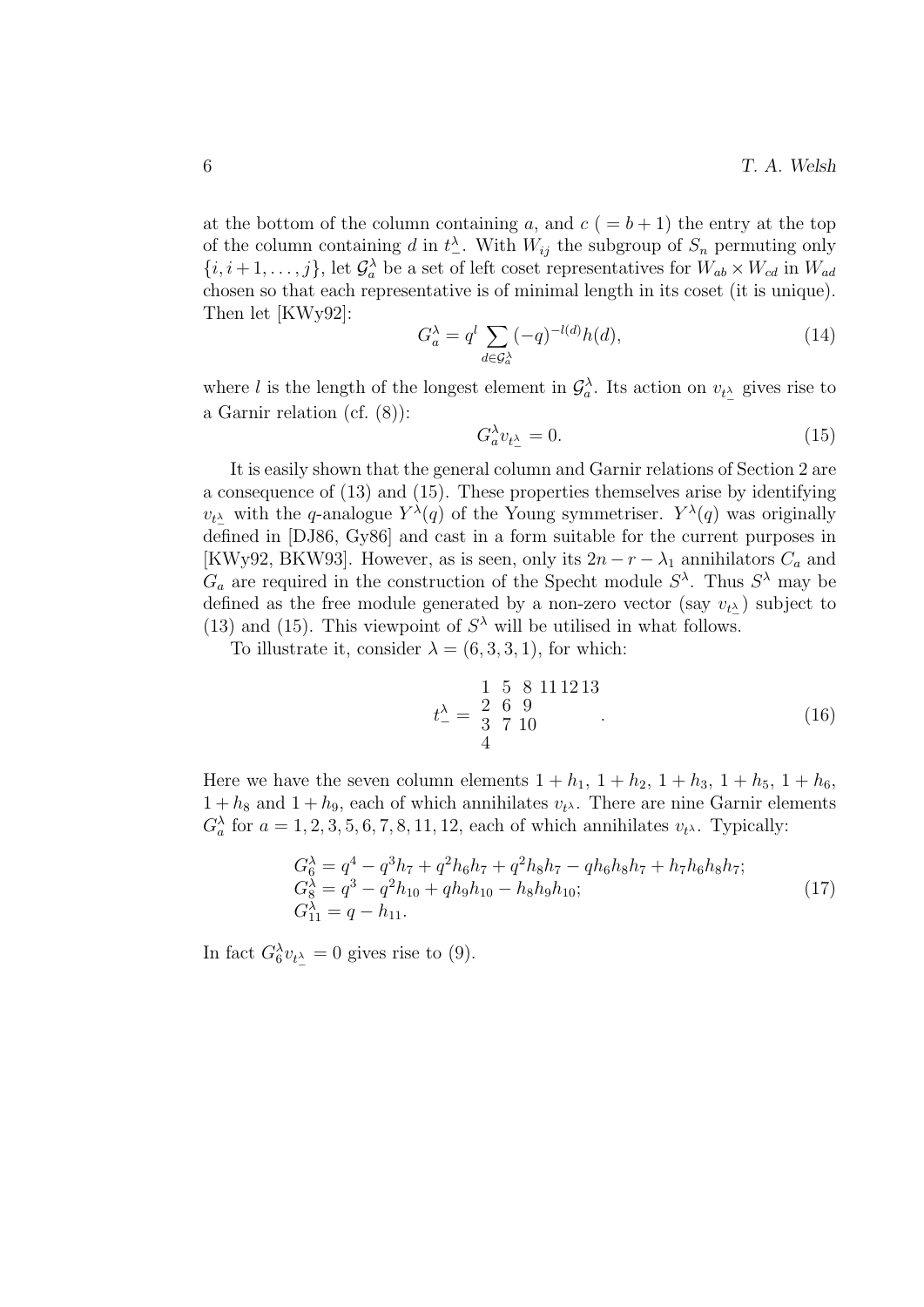at the bottom of the column containing a, and  $c (= b + 1)$  the entry at the top of the column containing d in  $t^{\lambda}_-$ . With  $W_{ij}$  the subgroup of  $S_n$  permuting only  $\{i, i+1, \ldots, j\}$ , let  $\mathcal{G}^{\lambda}_{a}$  be a set of left coset representatives for  $W_{ab} \times W_{cd}$  in  $W_{ad}$ chosen so that each representative is of minimal length in its coset (it is unique). Then let [KWy92]:

$$
G_a^{\lambda} = q^l \sum_{d \in \mathcal{G}_a^{\lambda}} (-q)^{-l(d)} h(d), \qquad (14)
$$

where l is the length of the longest element in  $\mathcal{G}_a^{\lambda}$ . Its action on  $v_{t^{\lambda}}$  gives rise to a Garnir relation (cf. (8)):

$$
G_a^{\lambda} v_{t^{\lambda}_{-}} = 0. \tag{15}
$$

It is easily shown that the general column and Garnir relations of Section 2 are a consequence of (13) and (15). These properties themselves arise by identifying  $v_{t^{\lambda}}$  with the q-analogue  $Y^{\lambda}(q)$  of the Young symmetriser.  $Y^{\lambda}(q)$  was originally defined in [DJ86, Gy86] and cast in a form suitable for the current purposes in [KWy92, BKW93]. However, as is seen, only its  $2n - r - \lambda_1$  annihilators  $C_a$  and  $G_a$  are required in the construction of the Specht module  $S^{\lambda}$ . Thus  $S^{\lambda}$  may be defined as the free module generated by a non-zero vector (say  $v_{t\lambda}$ ) subject to (13) and (15). This viewpoint of  $S^{\lambda}$  will be utilised in what follows.

To illustrate it, consider  $\lambda = (6, 3, 3, 1)$ , for which:

$$
t_{-}^{\lambda} = \begin{array}{ccc} 1 & 5 & 8 & 11 & 12 & 13 \\ 2 & 6 & 9 & & \\ 3 & 7 & 10 & & \\ 4 & & & & \end{array} \tag{16}
$$

Here we have the seven column elements  $1 + h_1$ ,  $1 + h_2$ ,  $1 + h_3$ ,  $1 + h_5$ ,  $1 + h_6$ ,  $1 + h_8$  and  $1 + h_9$ , each of which annihilates  $v_{t\lambda}$ . There are nine Garnir elements  $G_a^{\lambda}$  for  $a = 1, 2, 3, 5, 6, 7, 8, 11, 12$ , each of which annihilates  $v_t$ . Typically:

$$
G_6^{\lambda} = q^4 - q^3 h_7 + q^2 h_6 h_7 + q^2 h_8 h_7 - q h_6 h_8 h_7 + h_7 h_6 h_8 h_7;
$$
  
\n
$$
G_8^{\lambda} = q^3 - q^2 h_{10} + q h_9 h_{10} - h_8 h_9 h_{10};
$$
  
\n
$$
G_{11}^{\lambda} = q - h_{11}.
$$
\n(17)

In fact  $G_6^{\lambda} v_{t_{\alpha}} = 0$  gives rise to (9).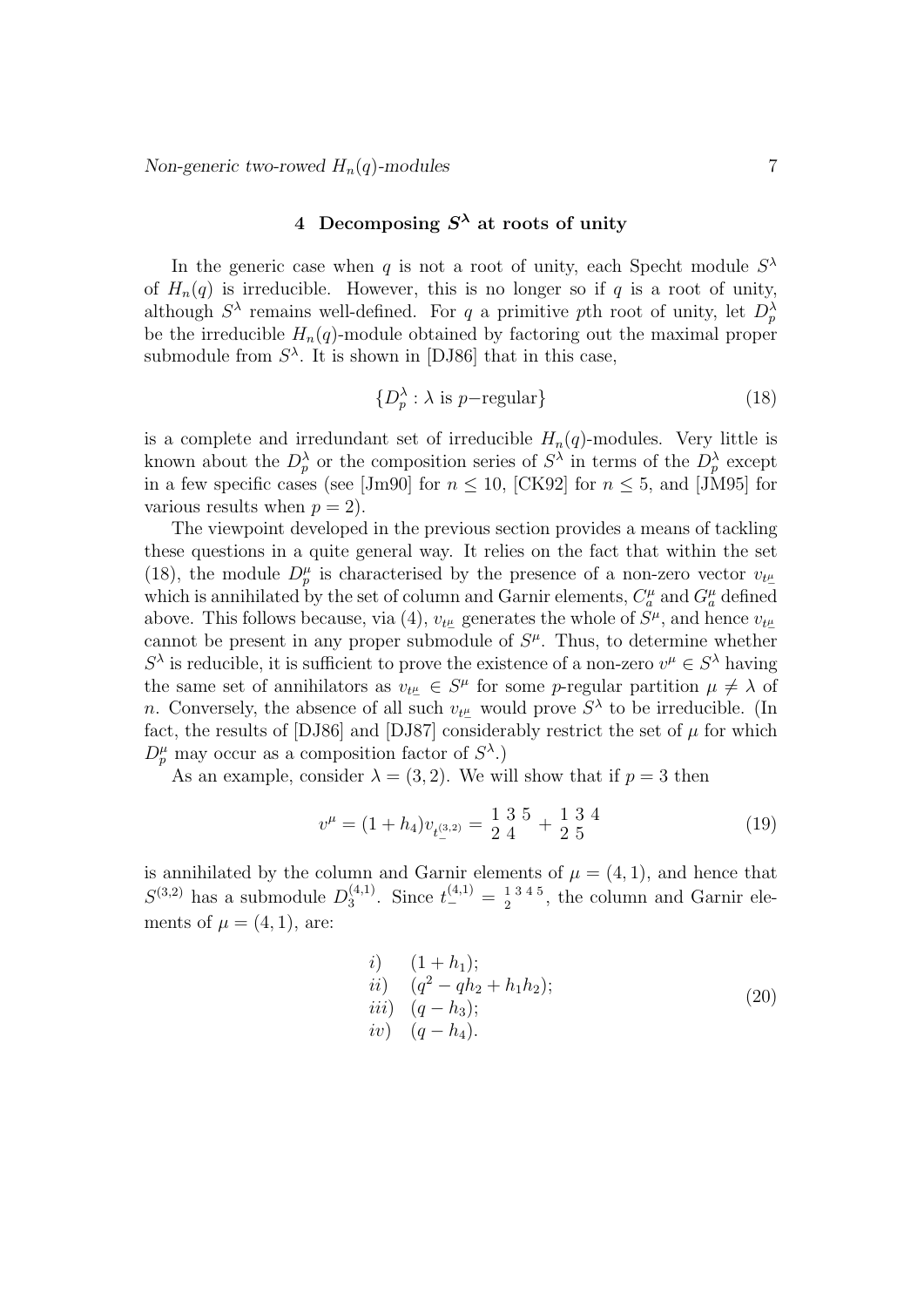## 4 Decomposing  $S^{\lambda}$  at roots of unity

In the generic case when q is not a root of unity, each Specht module  $S^{\lambda}$ of  $H_n(q)$  is irreducible. However, this is no longer so if q is a root of unity, although  $S^{\lambda}$  remains well-defined. For q a primitive pth root of unity, let  $D_p^{\lambda}$ be the irreducible  $H_n(q)$ -module obtained by factoring out the maximal proper submodule from  $S^{\lambda}$ . It is shown in [DJ86] that in this case,

$$
\{D_p^{\lambda} : \lambda \text{ is } p-\text{regular}\}\tag{18}
$$

is a complete and irredundant set of irreducible  $H_n(q)$ -modules. Very little is known about the  $D_p^{\lambda}$  or the composition series of  $S^{\lambda}$  in terms of the  $D_p^{\lambda}$  except in a few specific cases (see [Jm90] for  $n \le 10$ , [CK92] for  $n \le 5$ , and [JM95] for various results when  $p = 2$ .

The viewpoint developed in the previous section provides a means of tackling these questions in a quite general way. It relies on the fact that within the set (18), the module  $D_p^{\mu}$  is characterised by the presence of a non-zero vector  $v_{t\mu}$ which is annihilated by the set of column and Garnir elements,  $C_a^{\mu}$  and  $G_a^{\mu}$  defined above. This follows because, via (4),  $v_{t\mu}$  generates the whole of  $S^{\mu}$ , and hence  $v_{t\mu}$ cannot be present in any proper submodule of  $S^{\mu}$ . Thus, to determine whether  $S^{\lambda}$  is reducible, it is sufficient to prove the existence of a non-zero  $v^{\mu} \in S^{\lambda}$  having the same set of annihilators as  $v_{t\mu} \in S^{\mu}$  for some p-regular partition  $\mu \neq \lambda$  of n. Conversely, the absence of all such  $v_{t\mu}$  would prove  $S^{\lambda}$  to be irreducible. (In fact, the results of [DJ86] and [DJ87] considerably restrict the set of  $\mu$  for which  $D_p^{\mu}$  may occur as a composition factor of  $S^{\lambda}$ .)

As an example, consider  $\lambda = (3, 2)$ . We will show that if  $p = 3$  then

$$
v^{\mu} = (1 + h_4)v_{t^{(3,2)}} = \frac{1}{2} \frac{3}{4} \frac{5}{4} + \frac{1}{2} \frac{3}{5} \frac{4}{5}
$$
 (19)

is annihilated by the column and Garnir elements of  $\mu = (4, 1)$ , and hence that  $S^{(3,2)}$  has a submodule  $D_3^{(4,1)}$  $t_3^{(4,1)}$ . Since  $t_-'^{(4,1)} = \frac{1}{2}^{3 \cdot 4 \cdot 5}$  $\frac{1345}{2}$ , the column and Garnir elements of  $\mu = (4, 1)$ , are:

*i)* 
$$
(1 + h_1);
$$
  
\n*ii)*  $(q^2 - qh_2 + h_1h_2);$   
\n*iii)*  $(q - h_3);$   
\n*iv)*  $(q - h_4).$  (20)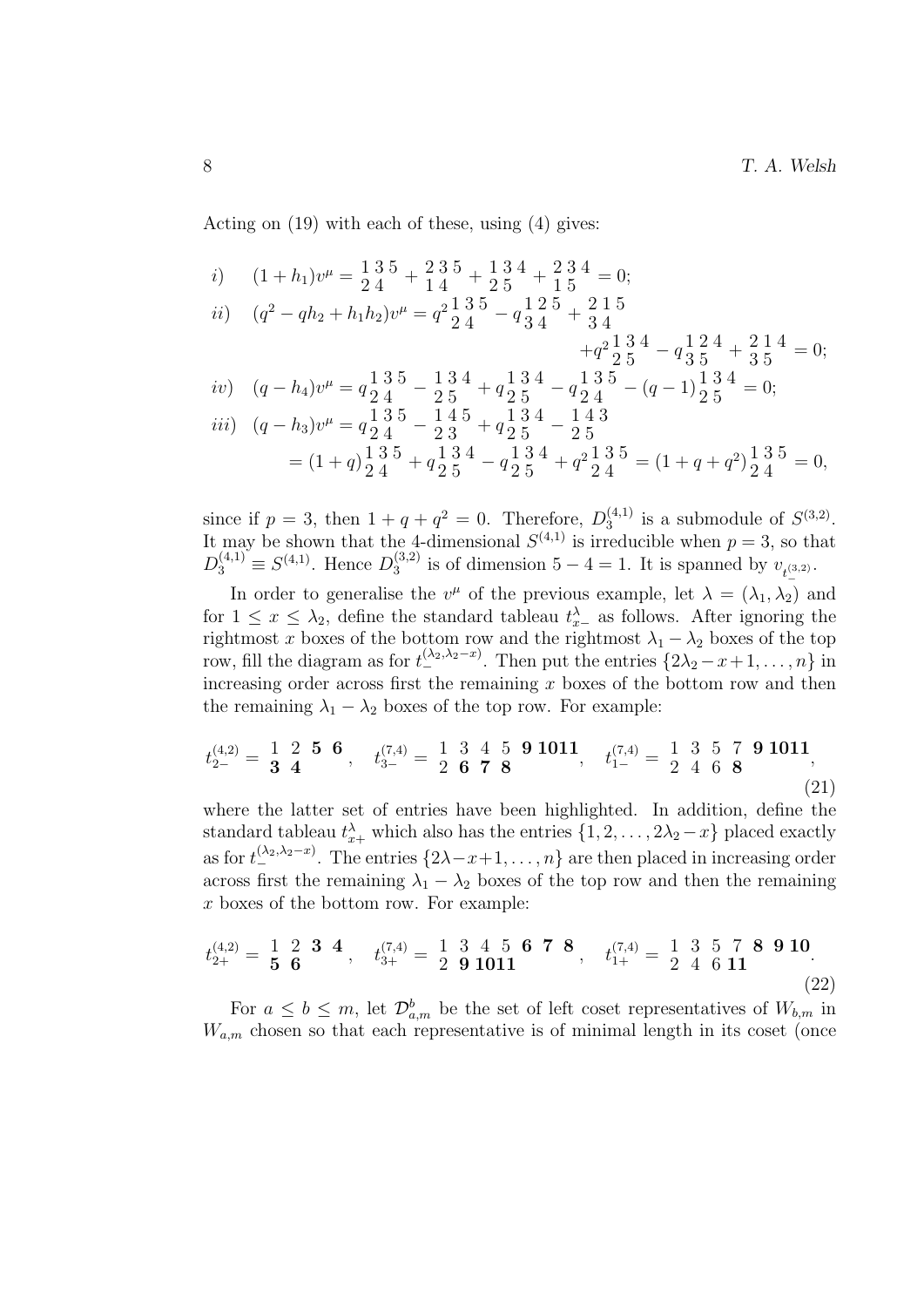Acting on (19) with each of these, using (4) gives:

- i)  $(1+h_1)v^{\mu} = \frac{1}{2} \frac{3}{4} \frac{5}{4} + \frac{2}{1} \frac{3}{4} \frac{5}{4} + \frac{1}{2} \frac{3}{5} \frac{4}{4} + \frac{2}{1} \frac{3}{5} \frac{4}{5} = 0;$
- ii)  $(q^2 qh_2 + h_1h_2)v^{\mu} = q^2 \frac{1}{2} \frac{3}{4} \frac{5}{4} q \frac{1}{3} \frac{2}{4} \frac{5}{4} + \frac{2}{3} \frac{1}{4} \frac{5}{4}$ 3 4  $+q^2 \frac{1}{2} \frac{3}{5} \frac{4}{1} - q \frac{1}{3} \frac{2}{5} \frac{4}{1} + \frac{2}{3} \frac{1}{5} \frac{4}{1} = 0;$
- iv)  $(q-h_4)v^{\mu} = q_2^{\begin{bmatrix} 1 & 3 & 5 \\ 4 & 2 & 5 \end{bmatrix}} \frac{1}{2} \frac{3}{5} \frac{4}{5} + q_2^{\begin{bmatrix} 1 & 3 & 4 \\ 5 & 4 & 2 \end{bmatrix}} q_2^{\begin{bmatrix} 1 & 3 & 5 \\ 4 & 2 & 4 \end{bmatrix}} (q-1) \frac{1}{2} \frac{3}{5} \frac{4}{5} = 0;$

iii) 
$$
(q-h_3)v^{\mu} = q_{24}^{135} - 145 + q_{25}^{134} - 143
$$
  
=  $(1+q)_{24}^{135} + q_{25}^{134} - q_{25}^{134} + q_{24}^{2135} = (1+q+q_{24}^{2})_{24}^{135} = 0,$ 

since if  $p = 3$ , then  $1 + q + q^2 = 0$ . Therefore,  $D_3^{(4,1)}$  $s_3^{(4,1)}$  is a submodule of  $S^{(3,2)}$ . It may be shown that the 4-dimensional  $S^{(4,1)}$  is irreducible when  $p=3$ , so that  $D_3^{(4,1)} \equiv S^{(4,1)}$ . Hence  $D_3^{(3,2)}$  $j_3^{(3,2)}$  is of dimension  $5-4=1$ . It is spanned by  $v_{t_{-}^{(3,2)}}$ .

In order to generalise the  $v^{\mu}$  of the previous example, let  $\lambda = (\lambda_1, \lambda_2)$  and for  $1 \leq x \leq \lambda_2$ , define the standard tableau  $t_{x-}^{\lambda}$  as follows. After ignoring the rightmost x boxes of the bottom row and the rightmost  $\lambda_1 - \lambda_2$  boxes of the top row, fill the diagram as for  $t_{-}^{(\lambda_2,\lambda_2-x)}$ . Then put the entries  $\{2\lambda_2 - x + 1, \ldots, n\}$  in increasing order across first the remaining  $x$  boxes of the bottom row and then the remaining  $\lambda_1 - \lambda_2$  boxes of the top row. For example:

$$
t_{2-}^{(4,2)} = \begin{bmatrix} 1 & 2 & 5 & 6 \\ 3 & 4 & 5 & 6 \end{bmatrix}, \quad t_{3-}^{(7,4)} = \begin{bmatrix} 1 & 3 & 4 & 5 & 9 & 1011 \\ 2 & 6 & 7 & 8 & 6 \end{bmatrix}, \quad t_{1-}^{(7,4)} = \begin{bmatrix} 1 & 3 & 5 & 7 & 9 & 1011 \\ 2 & 4 & 6 & 8 & 6 \end{bmatrix}, \tag{21}
$$

where the latter set of entries have been highlighted. In addition, define the standard tableau  $t_{x+}^{\lambda}$  which also has the entries  $\{1, 2, \ldots, 2\lambda_2 - x\}$  placed exactly as for  $t_{-}^{(\lambda_2,\lambda_2-x)}$ . The entries  $\{2\lambda-x+1,\ldots,n\}$  are then placed in increasing order across first the remaining  $\lambda_1 - \lambda_2$  boxes of the top row and then the remaining x boxes of the bottom row. For example:

$$
t_{2+}^{(4,2)} = \begin{bmatrix} 1 & 2 & \mathbf{3} & \mathbf{4} \\ \mathbf{5} & \mathbf{6} & 6 \end{bmatrix}, \quad t_{3+}^{(7,4)} = \begin{bmatrix} 1 & 3 & 4 & 5 & \mathbf{6} & \mathbf{7} & \mathbf{8} \\ 2 & \mathbf{9} & \mathbf{1011} & \mathbf{1} \end{bmatrix}, \quad t_{1+}^{(7,4)} = \begin{bmatrix} 1 & 3 & 5 & 7 & \mathbf{8} & \mathbf{9} & \mathbf{10} \\ 2 & 4 & 6 & \mathbf{11} & \mathbf{1} \end{bmatrix}.
$$
 (22)

For  $a \leq b \leq m$ , let  $\mathcal{D}_{a,m}^b$  be the set of left coset representatives of  $W_{b,m}$  in  $W_{a,m}$  chosen so that each representative is of minimal length in its coset (once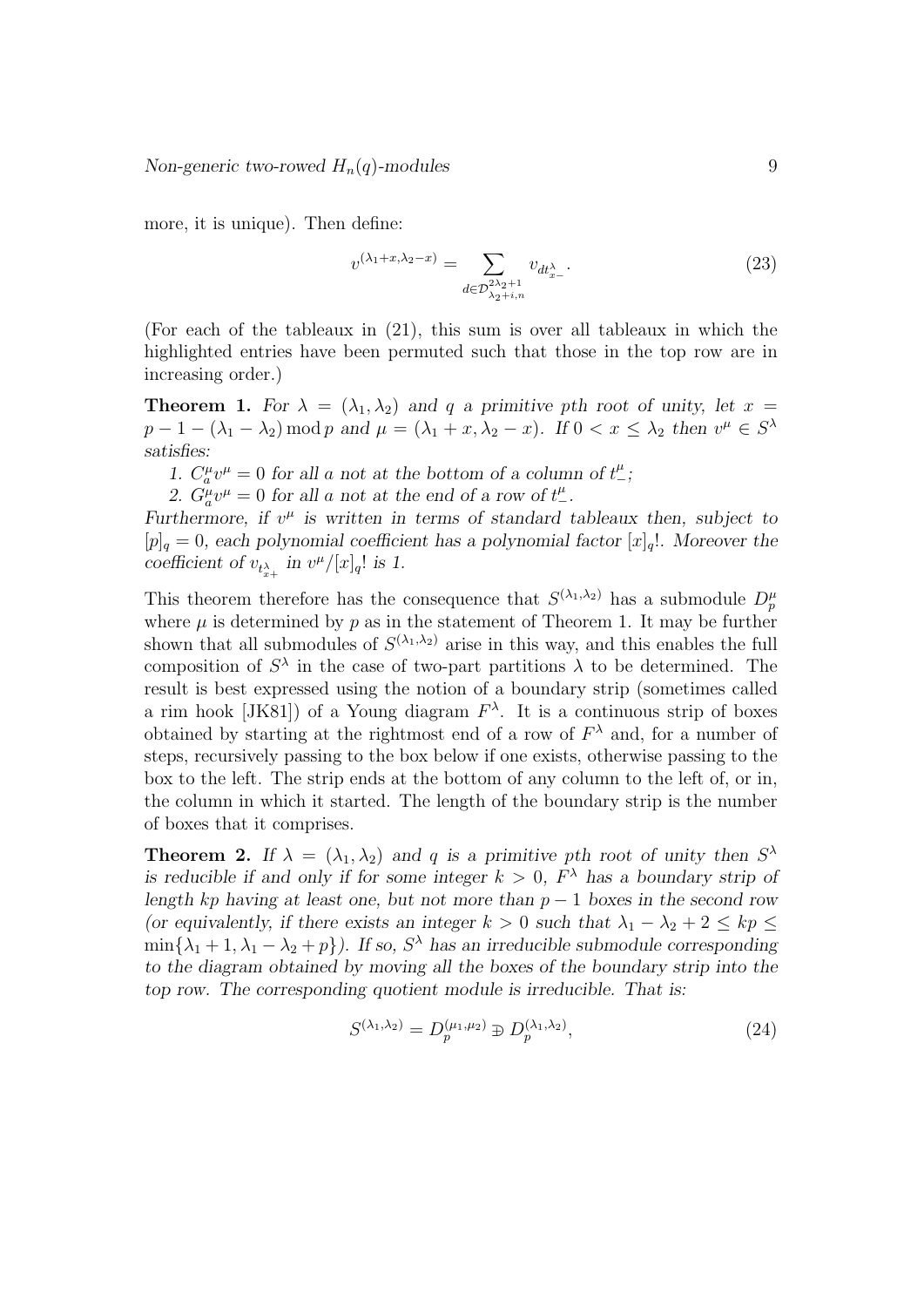more, it is unique). Then define:

$$
v^{(\lambda_1+x,\lambda_2-x)} = \sum_{d \in \mathcal{D}_{\lambda_2+i,n}^{2\lambda_2+1}} v_{dt_{x-}^{\lambda}}.
$$
\n(23)

(For each of the tableaux in (21), this sum is over all tableaux in which the highlighted entries have been permuted such that those in the top row are in increasing order.)

**Theorem 1.** For  $\lambda = (\lambda_1, \lambda_2)$  and q a primitive pth root of unity, let  $x =$  $p-1-(\lambda_1-\lambda_2) \mod p$  and  $\mu=(\lambda_1+x,\lambda_2-x)$ . If  $0 < x \leq \lambda_2$  then  $v^{\mu} \in S^{\lambda}$ satisfies:

1.  $C_a^{\mu}v^{\mu} = 0$  for all a not at the bottom of a column of  $t^{\mu}_{-}$ ;

2.  $G^{\mu}_{a}v^{\mu} = 0$  for all a not at the end of a row of  $t^{\mu}_{-}$ .

Furthermore, if  $v^{\mu}$  is written in terms of standard tableaux then, subject to  $[p]_q = 0$ , each polynomial coefficient has a polynomial factor  $[x]_q!$ . Moreover the coefficient of  $v_{t_{x+}^{\lambda}}$  in  $v^{\mu}/[x]_q!$  is 1.

This theorem therefore has the consequence that  $S^{(\lambda_1,\lambda_2)}$  has a submodule  $D_p^{\mu}$ where  $\mu$  is determined by p as in the statement of Theorem 1. It may be further shown that all submodules of  $S^{(\lambda_1,\lambda_2)}$  arise in this way, and this enables the full composition of  $S^{\lambda}$  in the case of two-part partitions  $\lambda$  to be determined. The result is best expressed using the notion of a boundary strip (sometimes called a rim hook [JK81]) of a Young diagram  $F^{\lambda}$ . It is a continuous strip of boxes obtained by starting at the rightmost end of a row of  $F^{\lambda}$  and, for a number of steps, recursively passing to the box below if one exists, otherwise passing to the box to the left. The strip ends at the bottom of any column to the left of, or in, the column in which it started. The length of the boundary strip is the number of boxes that it comprises.

**Theorem 2.** If  $\lambda = (\lambda_1, \lambda_2)$  and q is a primitive pth root of unity then  $S^{\lambda}$ is reducible if and only if for some integer  $k > 0$ ,  $F^{\lambda}$  has a boundary strip of length kp having at least one, but not more than  $p-1$  boxes in the second row (or equivalently, if there exists an integer  $k > 0$  such that  $\lambda_1 - \lambda_2 + 2 \leq kp \leq$  $\min{\lambda_1 + 1, \lambda_1 - \lambda_2 + p}$ . If so,  $S^{\lambda}$  has an irreducible submodule corresponding to the diagram obtained by moving all the boxes of the boundary strip into the top row. The corresponding quotient module is irreducible. That is:

$$
S^{(\lambda_1, \lambda_2)} = D_p^{(\mu_1, \mu_2)} \oplus D_p^{(\lambda_1, \lambda_2)},\tag{24}
$$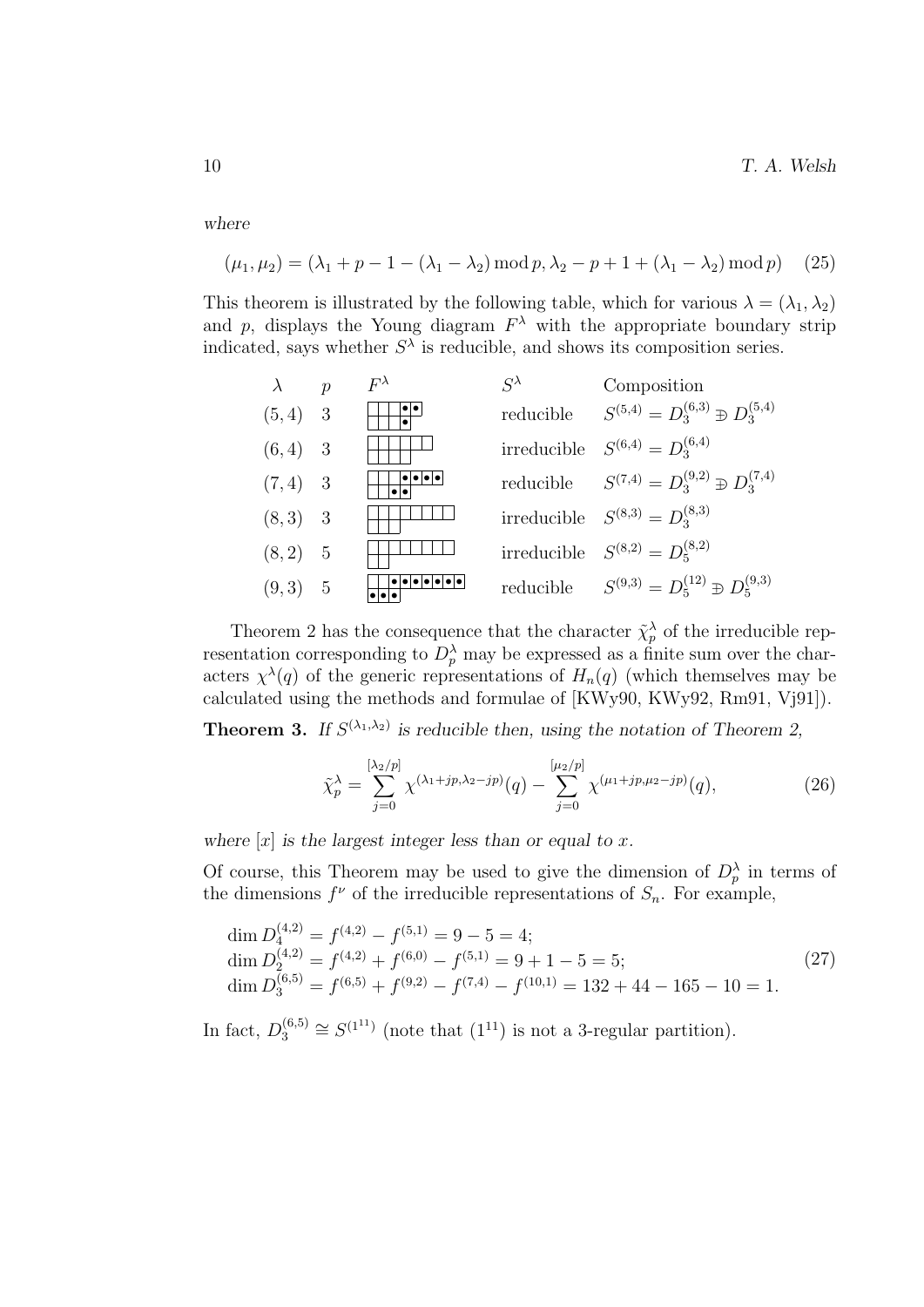$10$  T. A. Welsh

where

$$
(\mu_1, \mu_2) = (\lambda_1 + p - 1 - (\lambda_1 - \lambda_2) \mod p, \lambda_2 - p + 1 + (\lambda_1 - \lambda_2) \mod p) \tag{25}
$$

This theorem is illustrated by the following table, which for various  $\lambda = (\lambda_1, \lambda_2)$ and p, displays the Young diagram  $F^{\lambda}$  with the appropriate boundary strip indicated, says whether  $S^{\lambda}$  is reducible, and shows its composition series.

| $\lambda$ | $\boldsymbol{p}$ | $F^{\lambda}$ | $\varsigma^{\lambda}$ | Composition                                            |
|-----------|------------------|---------------|-----------------------|--------------------------------------------------------|
| $(5,4)$ 3 |                  |               | reducible             | $S^{(5,4)} = D_3^{(6,3)} \oplus D_3^{(5,4)}$           |
| $(6,4)$ 3 |                  |               |                       | irreducible $S^{(6,4)} = D_3^{(6,4)}$                  |
| $(7,4)$ 3 |                  |               |                       | reducible $S^{(7,4)} = D_3^{(9,2)} \oplus D_3^{(7,4)}$ |
| $(8,3)$ 3 |                  |               |                       | irreducible $S^{(8,3)} = D_3^{(8,3)}$                  |
| $(8,2)$ 5 |                  |               |                       | irreducible $S^{(8,2)} = D_5^{(8,2)}$                  |
| $(9,3)$ 5 |                  |               |                       | reducible $S^{(9,3)} = D_5^{(12)} \oplus D_5^{(9,3)}$  |

Theorem 2 has the consequence that the character  $\tilde{\chi}_p^{\lambda}$  of the irreducible representation corresponding to  $D_p^{\lambda}$  may be expressed as a finite sum over the characters  $\chi^{\lambda}(q)$  of the generic representations of  $H_n(q)$  (which themselves may be calculated using the methods and formulae of [KWy90, KWy92, Rm91, Vj91]).

**Theorem 3.** If  $S^{(\lambda_1,\lambda_2)}$  is reducible then, using the notation of Theorem 2,

$$
\tilde{\chi}_p^{\lambda} = \sum_{j=0}^{[\lambda_2/p]} \chi^{(\lambda_1+jp,\lambda_2-jp)}(q) - \sum_{j=0}^{[\mu_2/p]} \chi^{(\mu_1+jp,\mu_2-jp)}(q),\tag{26}
$$

where  $[x]$  is the largest integer less than or equal to x.

Of course, this Theorem may be used to give the dimension of  $D_p^{\lambda}$  in terms of the dimensions  $f^{\nu}$  of the irreducible representations of  $S_n$ . For example,

$$
\dim D_4^{(4,2)} = f^{(4,2)} - f^{(5,1)} = 9 - 5 = 4; \n\dim D_2^{(4,2)} = f^{(4,2)} + f^{(6,0)} - f^{(5,1)} = 9 + 1 - 5 = 5; \n\dim D_3^{(6,5)} = f^{(6,5)} + f^{(9,2)} - f^{(7,4)} - f^{(10,1)} = 132 + 44 - 165 - 10 = 1.
$$
\n(27)

In fact,  $D_3^{(6,5)}$  $S_3^{(6,5)} \cong S^{(1^{11})}$  (note that  $(1^{11})$  is not a 3-regular partition).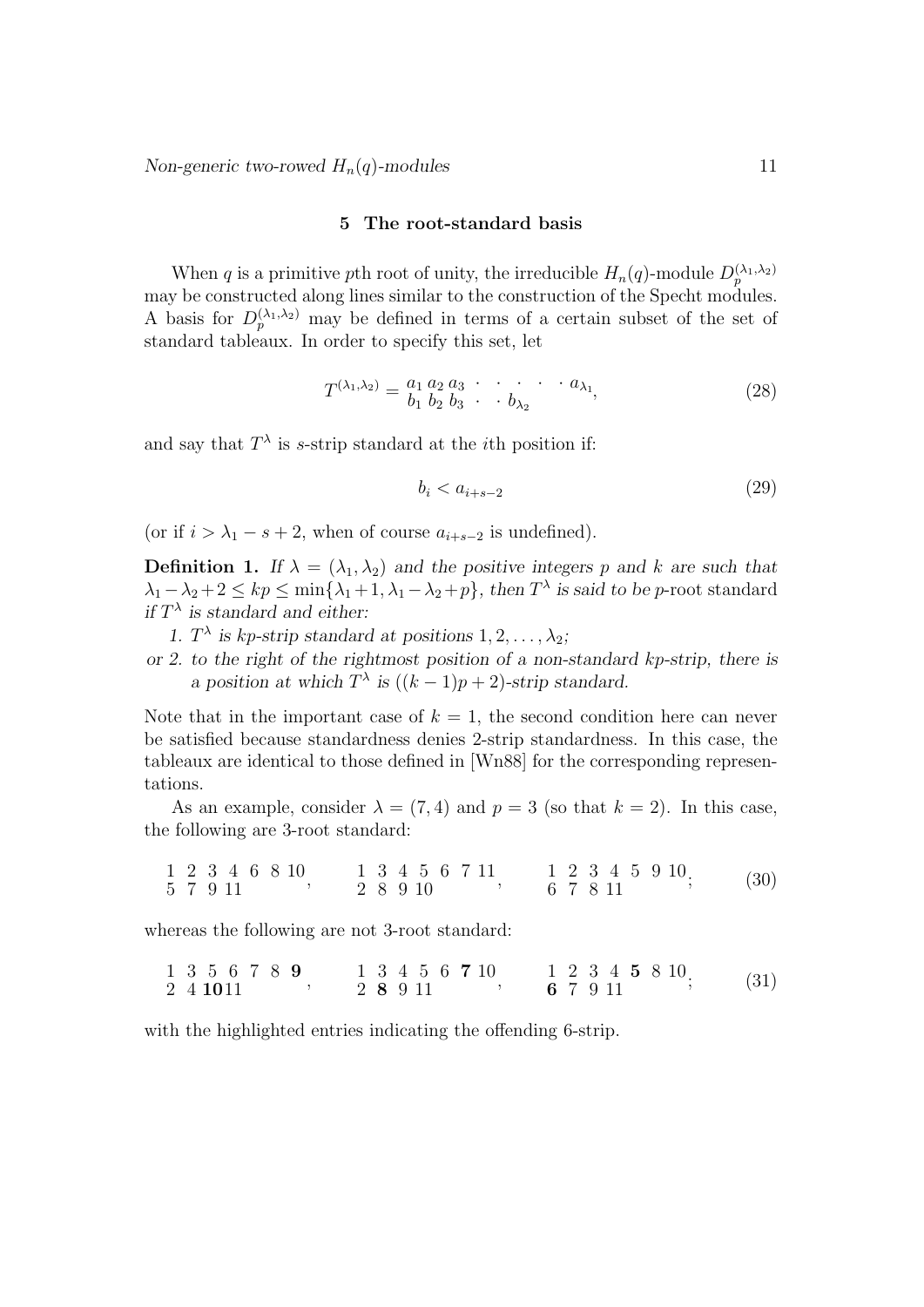### 5 The root-standard basis

When q is a primitive pth root of unity, the irreducible  $H_n(q)$ -module  $D_p^{(\lambda_1,\lambda_2)}$ may be constructed along lines similar to the construction of the Specht modules. A basis for  $D_p^{(\lambda_1,\lambda_2)}$  may be defined in terms of a certain subset of the set of standard tableaux. In order to specify this set, let

$$
T^{(\lambda_1, \lambda_2)} = \begin{matrix} a_1 & a_2 & a_3 & \cdot & \cdot & \cdot & a_{\lambda_1} \\ b_1 & b_2 & b_3 & \cdot & b_{\lambda_2} & \cdot & \cdot & b_{\lambda_3} \end{matrix}
$$
 (28)

and say that  $T^{\lambda}$  is s-strip standard at the *i*th position if:

$$
b_i < a_{i+s-2} \tag{29}
$$

(or if  $i > \lambda_1 - s + 2$ , when of course  $a_{i+s-2}$  is undefined).

**Definition 1.** If  $\lambda = (\lambda_1, \lambda_2)$  and the positive integers p and k are such that  $\lambda_1 - \lambda_2 + 2 \leq kp \leq \min\{\lambda_1 + 1, \lambda_1 - \lambda_2 + p\}$ , then  $T^{\lambda}$  is said to be p-root standard if  $T^{\lambda}$  is standard and either:

- 1.  $T^{\lambda}$  is kp-strip standard at positions  $1, 2, ..., \lambda_2$ ;
- or 2. to the right of the rightmost position of a non-standard kp-strip, there is a position at which  $T^{\lambda}$  is  $((k-1)p+2)$ -strip standard.

Note that in the important case of  $k = 1$ , the second condition here can never be satisfied because standardness denies 2-strip standardness. In this case, the tableaux are identical to those defined in [Wn88] for the corresponding representations.

As an example, consider  $\lambda = (7, 4)$  and  $p = 3$  (so that  $k = 2$ ). In this case, the following are 3-root standard:

|  |          | 1 2 3 4 6 8 10 |  |          |  | 1 3 4 5 6 7 11 |  |  |       |  | 1 2 3 4 5 9 10 | (30) |
|--|----------|----------------|--|----------|--|----------------|--|--|-------|--|----------------|------|
|  | 5 7 9 11 |                |  | 2 8 9 10 |  |                |  |  | 67811 |  |                |      |

whereas the following are not 3-root standard:

| 1 3 5 6 7 8 9 | 1 3 4 5 6 7 10 | 1 2 3 4 5 8 10 | (31) |
|---------------|----------------|----------------|------|
| 2 4 10 11     | 2 8 9 11       | 6 7 9 11       |      |

with the highlighted entries indicating the offending 6-strip.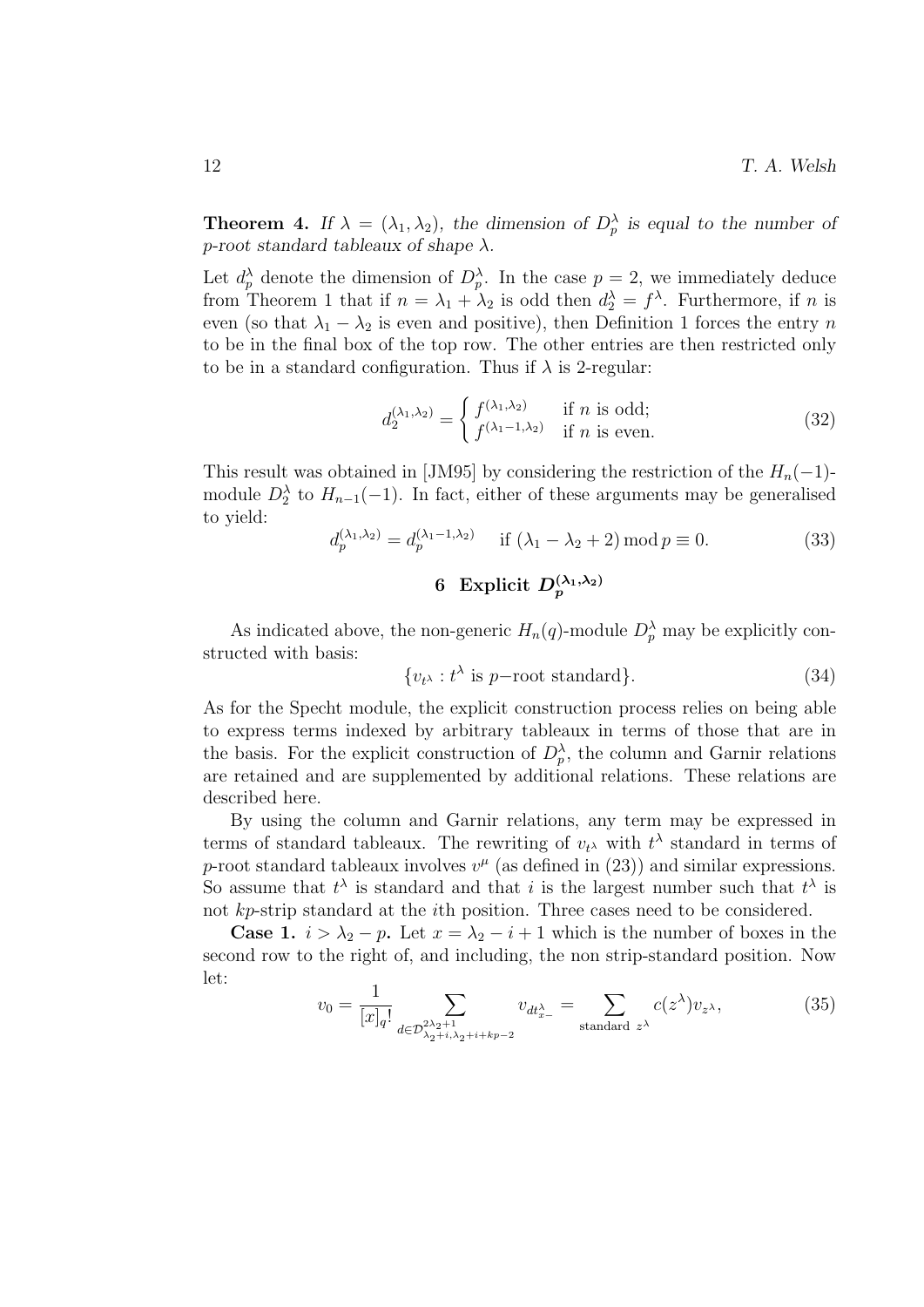**Theorem 4.** If  $\lambda = (\lambda_1, \lambda_2)$ , the dimension of  $D_p^{\lambda}$  is equal to the number of p-root standard tableaux of shape  $\lambda$ .

Let  $d_p^{\lambda}$  denote the dimension of  $D_p^{\lambda}$ . In the case  $p=2$ , we immediately deduce from Theorem 1 that if  $n = \lambda_1 + \lambda_2$  is odd then  $d_2^{\lambda} = f^{\lambda}$ . Furthermore, if n is even (so that  $\lambda_1 - \lambda_2$  is even and positive), then Definition 1 forces the entry n to be in the final box of the top row. The other entries are then restricted only to be in a standard configuration. Thus if  $\lambda$  is 2-regular:

$$
d_2^{(\lambda_1, \lambda_2)} = \begin{cases} f^{(\lambda_1, \lambda_2)} & \text{if } n \text{ is odd;}\\ f^{(\lambda_1 - 1, \lambda_2)} & \text{if } n \text{ is even.} \end{cases}
$$
(32)

This result was obtained in [JM95] by considering the restriction of the  $H_n(-1)$ module  $D_2^{\lambda}$  to  $H_{n-1}(-1)$ . In fact, either of these arguments may be generalised to yield:

$$
d_p^{(\lambda_1, \lambda_2)} = d_p^{(\lambda_1 - 1, \lambda_2)} \quad \text{if } (\lambda_1 - \lambda_2 + 2) \operatorname{mod} p \equiv 0. \tag{33}
$$

# 6 Explicit  $D_p^{(\lambda_1,\lambda_2)}$

As indicated above, the non-generic  $H_n(q)$ -module  $D_p^{\lambda}$  may be explicitly constructed with basis:

$$
\{v_{t^{\lambda}} : t^{\lambda} \text{ is } p-\text{root standard}\}.
$$
 (34)

As for the Specht module, the explicit construction process relies on being able to express terms indexed by arbitrary tableaux in terms of those that are in the basis. For the explicit construction of  $D_p^{\lambda}$ , the column and Garnir relations are retained and are supplemented by additional relations. These relations are described here.

By using the column and Garnir relations, any term may be expressed in terms of standard tableaux. The rewriting of  $v_t$  with  $t^{\lambda}$  standard in terms of p-root standard tableaux involves  $v^{\mu}$  (as defined in (23)) and similar expressions. So assume that  $t^{\lambda}$  is standard and that i is the largest number such that  $t^{\lambda}$  is not kp-strip standard at the ith position. Three cases need to be considered.

**Case 1.**  $i > \lambda_2 - p$ . Let  $x = \lambda_2 - i + 1$  which is the number of boxes in the second row to the right of, and including, the non strip-standard position. Now let:

$$
v_0 = \frac{1}{[x]_q!} \sum_{d \in \mathcal{D}_{\lambda_2 + i, \lambda_2 + i + kp - 2}^{\lambda_2 + 1}} v_{dt_{x-}^{\lambda}} = \sum_{\text{standard } z^{\lambda}} c(z^{\lambda}) v_{z^{\lambda}},
$$
(35)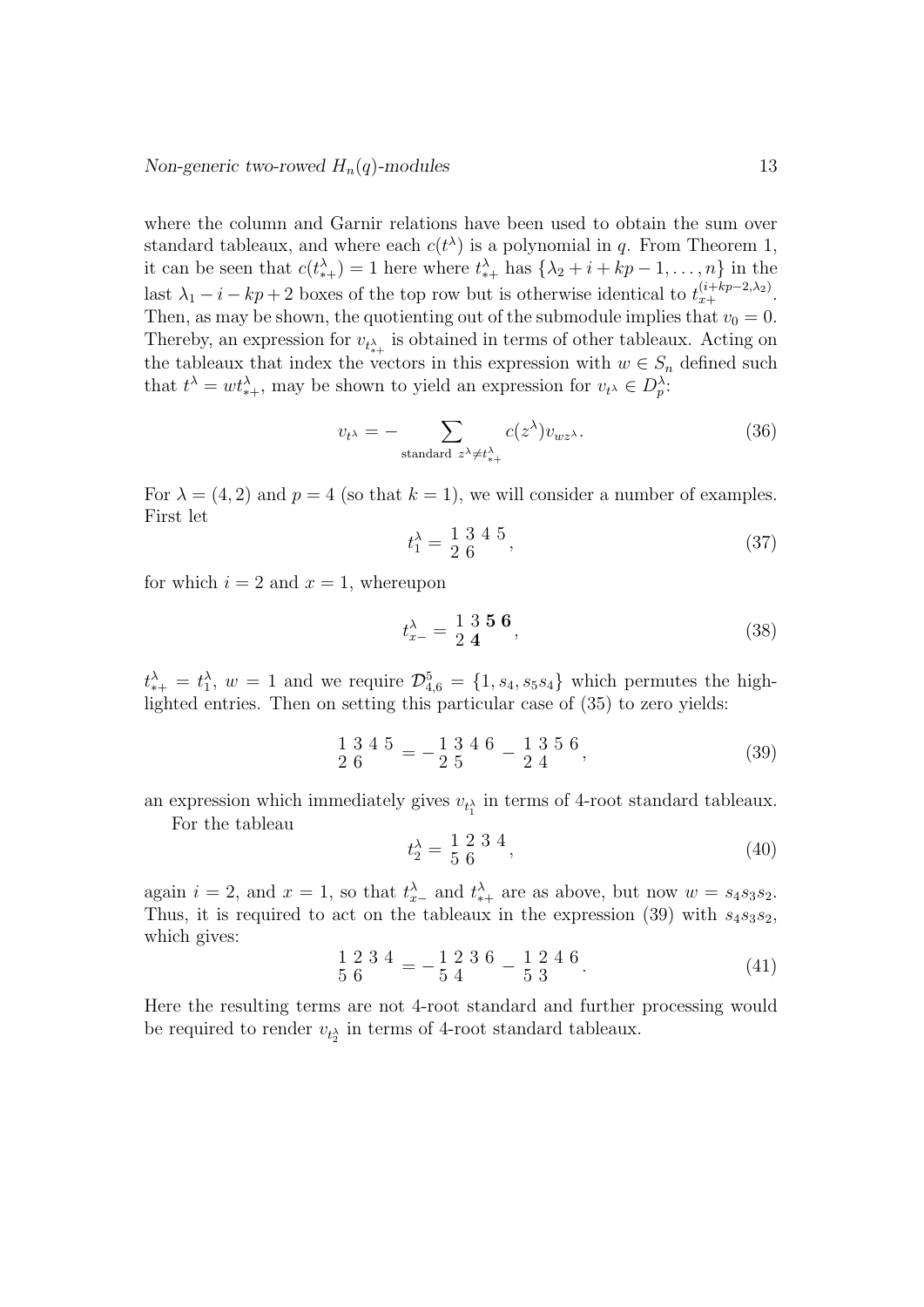where the column and Garnir relations have been used to obtain the sum over standard tableaux, and where each  $c(t^{\lambda})$  is a polynomial in q. From Theorem 1, it can be seen that  $c(t^{\lambda}_{*+}) = 1$  here where  $t^{\lambda}_{*+}$  has  $\{\lambda_2 + i + kp - 1, \ldots, n\}$  in the last  $\lambda_1 - i - kp + 2$  boxes of the top row but is otherwise identical to  $t_{x+}^{(i+kp-2,\lambda_2)}$ . Then, as may be shown, the quotienting out of the submodule implies that  $v_0 = 0$ . Thereby, an expression for  $v_{t^{\lambda}_{*+}}$  is obtained in terms of other tableaux. Acting on the tableaux that index the vectors in this expression with  $w \in S_n$  defined such that  $t^{\lambda} = wt^{\lambda}_{*+}$ , may be shown to yield an expression for  $v_{t^{\lambda}} \in D_r^{\lambda}$ .

$$
v_{t^{\lambda}} = - \sum_{\text{standard } z^{\lambda} \neq t^{\lambda}_{*+}} c(z^{\lambda}) v_{wz^{\lambda}}.
$$
 (36)

For  $\lambda = (4, 2)$  and  $p = 4$  (so that  $k = 1$ ), we will consider a number of examples. First let

$$
t_1^{\lambda} = \frac{1}{2} \frac{3}{6} \frac{4}{3} \tag{37}
$$

for which  $i = 2$  and  $x = 1$ , whereupon

$$
t_{x-}^{\lambda} = \frac{1}{2} \frac{3}{4} \frac{5}{6}, \qquad (38)
$$

 $t^{\lambda}_{*+} = t^{\lambda}_1$ ,  $w = 1$  and we require  $\mathcal{D}_{4,6}^5 = \{1, s_4, s_5 s_4\}$  which permutes the highlighted entries. Then on setting this particular case of (35) to zero yields:

$$
\frac{1}{2} \frac{3}{6} \frac{4}{5} = -\frac{1}{2} \frac{3}{5} \frac{4}{5} \frac{6}{5} - \frac{1}{2} \frac{3}{4} \frac{5}{5} \frac{6}{5},
$$
\n(39)

an expression which immediately gives  $v_{t_1^{\lambda}}$  in terms of 4-root standard tableaux.

For the tableau

$$
t_2^{\lambda} = \frac{1}{5} \frac{2}{6} \frac{3}{4},\tag{40}
$$

again  $i = 2$ , and  $x = 1$ , so that  $t_{x-}^{\lambda}$  and  $t_{*+}^{\lambda}$  are as above, but now  $w = s_4 s_3 s_2$ . Thus, it is required to act on the tableaux in the expression (39) with  $s_4s_3s_2$ , which gives:

$$
\frac{1}{5} \frac{2}{6} \frac{3}{4} \frac{4}{7} = -\frac{1}{5} \frac{2}{4} \frac{3}{4} \frac{6}{5} - \frac{1}{5} \frac{2}{3} \frac{4}{5} \frac{6}{5}.
$$
 (41)

Here the resulting terms are not 4-root standard and further processing would be required to render  $v_{t_2}$  in terms of 4-root standard tableaux.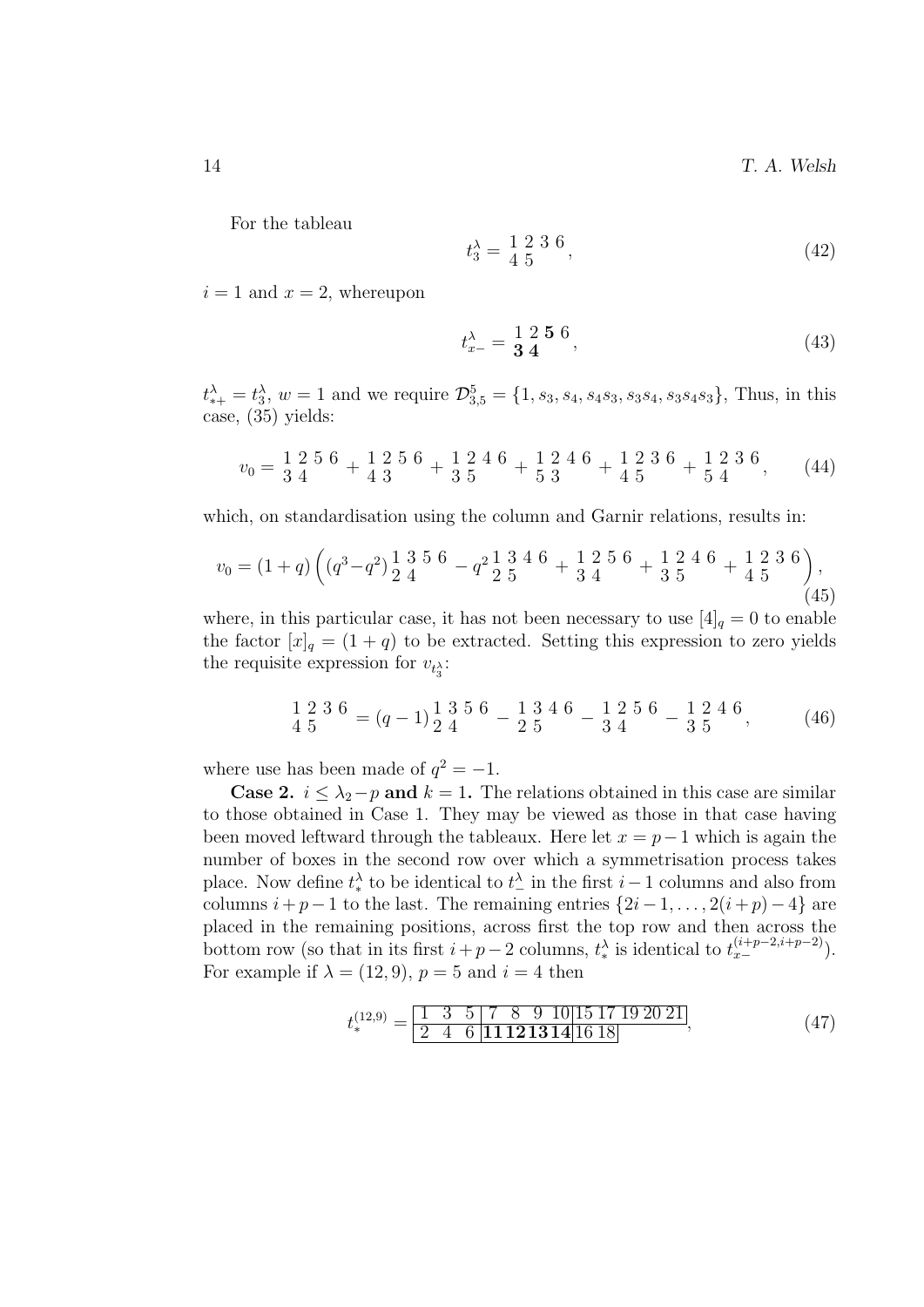For the tableau

$$
t_3^{\lambda} = \frac{1}{4} \frac{2}{5} \frac{3}{5} \frac{6}{7},\tag{42}
$$

 $i = 1$  and  $x = 2$ , whereupon

$$
t_{x-}^{\lambda} = \frac{1}{3} \frac{2}{4} \frac{5}{4} \frac{6}{4} \tag{43}
$$

 $t_{*+}^{\lambda} = t_3^{\lambda}, w = 1$  and we require  $\mathcal{D}_{3,5}^5 = \{1, s_3, s_4, s_4, s_3, s_3, s_4, s_3, s_4, s_3\}$ , Thus, in this case, (35) yields:

$$
v_0 = \frac{1}{3} \frac{2}{4} \frac{5}{4} \frac{6}{4} + \frac{1}{4} \frac{2}{3} \frac{5}{4} \frac{6}{5} + \frac{1}{5} \frac{2}{3} \frac{4}{5} \frac{6}{4} + \frac{1}{4} \frac{2}{5} \frac{3}{4} \frac{6}{5} + \frac{1}{5} \frac{2}{4} \frac{3}{5} \frac{6}{5}
$$
 (44)

which, on standardisation using the column and Garnir relations, results in:

$$
v_0 = (1+q)\left( (q^3 - q^2) \frac{1}{2} \frac{3}{4} \frac{5}{6} - q^2 \frac{1}{2} \frac{3}{5} \frac{4}{6} + \frac{1}{3} \frac{2}{4} \frac{5}{6} + \frac{1}{3} \frac{2}{5} \frac{4}{6} + \frac{1}{4} \frac{2}{5} \frac{3}{6} \frac{6}{12} \right),
$$
\n(45)

where, in this particular case, it has not been necessary to use  $[4]_q = 0$  to enable the factor  $[x]_q = (1 + q)$  to be extracted. Setting this expression to zero yields the requisite expression for  $v_{t_3}$ :

$$
\frac{1}{4}\frac{2}{5}\frac{3}{6}\frac{6}{6} = (q-1)\frac{1}{2}\frac{3}{4}\frac{5}{6}\frac{6}{6} - \frac{1}{2}\frac{3}{5}\frac{4}{6}\frac{6}{6} - \frac{1}{3}\frac{2}{4}\frac{5}{6}\frac{6}{6} - \frac{1}{3}\frac{2}{5}\frac{4}{6}\frac{6}{6},
$$
 (46)

where use has been made of  $q^2 = -1$ .

**Case 2.**  $i \leq \lambda_2 - p$  and  $k = 1$ . The relations obtained in this case are similar to those obtained in Case 1. They may be viewed as those in that case having been moved leftward through the tableaux. Here let  $x = p-1$  which is again the number of boxes in the second row over which a symmetrisation process takes place. Now define  $t^{\lambda}_{*}$  to be identical to  $t^{\lambda}_{-}$  in the first  $i-1$  columns and also from columns  $i + p - 1$  to the last. The remaining entries  $\{2i - 1, \ldots, 2(i + p) - 4\}$  are placed in the remaining positions, across first the top row and then across the bottom row (so that in its first  $i+p-2$  columns,  $t^{\lambda}_{*}$  is identical to  $t^{(i+p-2,i+p-2)}_{x-}$ ). For example if  $\lambda = (12, 9), p = 5$  and  $i = 4$  then

$$
t_*^{(12,9)} = \frac{1 \ 3 \ 5 \ 7 \ 8 \ 9 \ 10 \ 15 \ 17 \ 19 \ 20 \ 21}{2 \ 4 \ 6 \ 11 \ 12 \ 13 \ 14 \ 16 \ 18},\tag{47}
$$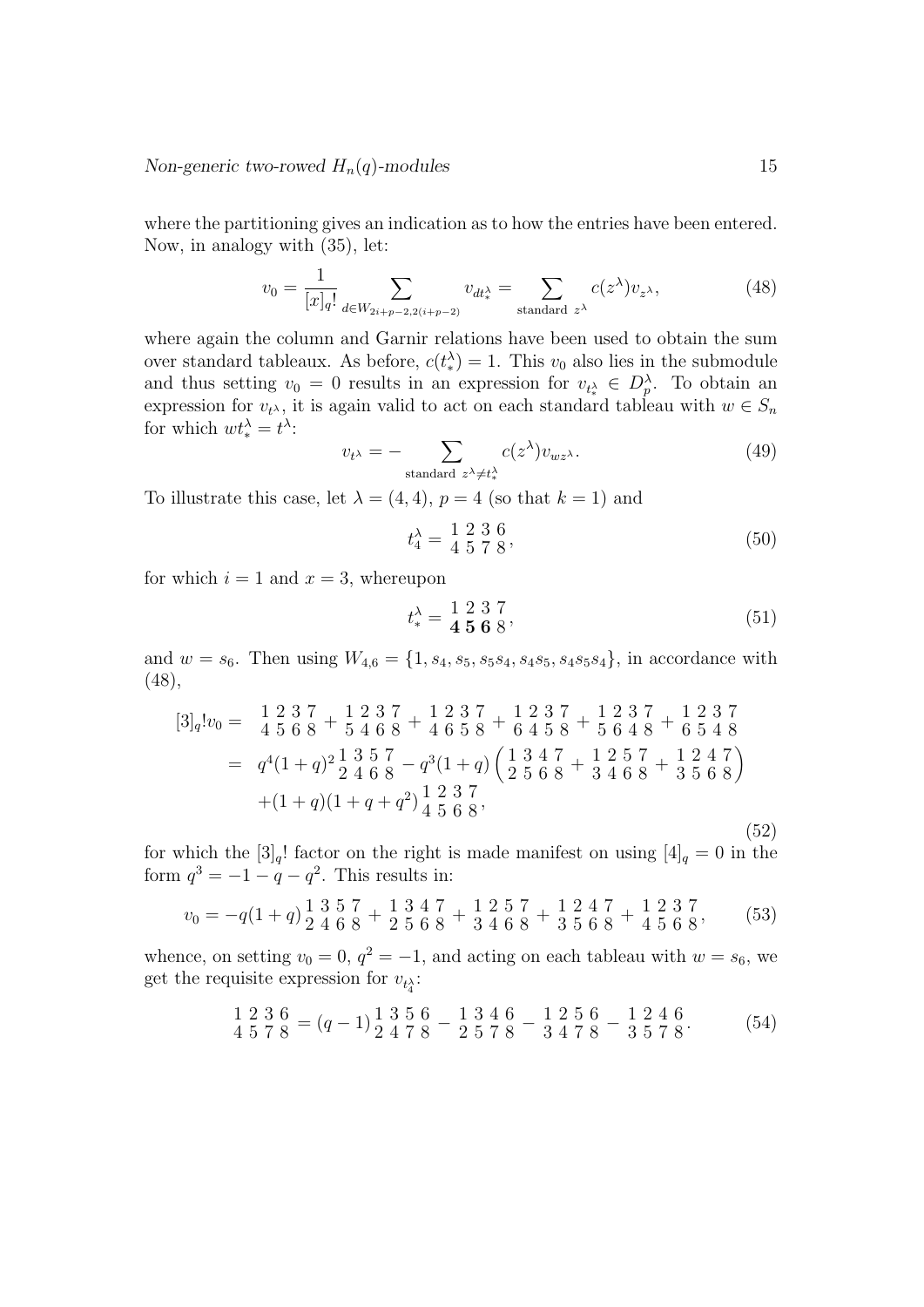where the partitioning gives an indication as to how the entries have been entered. Now, in analogy with (35), let:

$$
v_0 = \frac{1}{[x]_q!} \sum_{d \in W_{2i+p-2,2(i+p-2)}} v_{dt^{\lambda}_*} = \sum_{\text{standard } z^{\lambda}} c(z^{\lambda}) v_{z^{\lambda}}, \tag{48}
$$

where again the column and Garnir relations have been used to obtain the sum over standard tableaux. As before,  $c(t^{\lambda}) = 1$ . This  $v_0$  also lies in the submodule and thus setting  $v_0 = 0$  results in an expression for  $v_{t^{\lambda}} \in D_p^{\lambda}$ . To obtain an expression for  $v_{t^{\lambda}}$ , it is again valid to act on each standard tableau with  $w \in S_n$ for which  $wt_*^{\lambda} = t^{\lambda}$ :

$$
v_{t^{\lambda}} = -\sum_{\text{standard } z^{\lambda} \neq t_{\lambda}^{\lambda}} c(z^{\lambda}) v_{wz^{\lambda}}.
$$
 (49)

To illustrate this case, let  $\lambda = (4, 4)$ ,  $p = 4$  (so that  $k = 1$ ) and

$$
t_4^{\lambda} = \frac{1}{4} \frac{2}{5} \frac{3}{7} \frac{6}{8},\tag{50}
$$

for which  $i = 1$  and  $x = 3$ , whereupon

$$
t_*^{\lambda} = \frac{1}{4} \frac{2}{5} \frac{3}{6} \frac{7}{8},\tag{51}
$$

and  $w = s_6$ . Then using  $W_{4,6} = \{1, s_4, s_5, s_5s_4, s_4s_5, s_4s_5s_4\}$ , in accordance with (48),

$$
[3]_q!v_0 = \begin{array}{r} 1 \ 2 \ 3 \ 7 \ 4 \ 5 \ 6 \ 8 \end{array} + \begin{array}{r} 1 \ 2 \ 3 \ 7 \ 4 \ 6 \ 5 \ 8 \end{array} + \begin{array}{r} 1 \ 2 \ 3 \ 7 \ 4 \ 6 \ 5 \ 8 \end{array} + \begin{array}{r} 1 \ 2 \ 3 \ 7 \ 5 \ 6 \ 4 \ 8 \end{array} + \begin{array}{r} 1 \ 2 \ 3 \ 7 \ 5 \ 6 \ 4 \ 8 \end{array} + \begin{array}{r} 1 \ 2 \ 3 \ 7 \ 6 \ 5 \ 4 \ 8 \end{array}
$$
\n
$$
= q^4(1+q)^2 \begin{array}{r} 1 \ 3 \ 4 \ 5 \ 6 \ 8 \end{array} - q^3(1+q) \begin{pmatrix} 1 \ 3 \ 4 \ 7 \ 2 \ 5 \ 6 \ 8 \end{pmatrix} + (1+q)(1+q+q^2) \begin{array}{r} 1 \ 2 \ 3 \ 5 \ 6 \ 8 \end{array},
$$
\n
$$
(52)
$$

for which the  $[3]_q!$  factor on the right is made manifest on using  $[4]_q = 0$  in the form  $q^3 = -1 - q - q^2$ . This results in:

$$
v_0 = -q(1+q)\frac{1}{2}\frac{3}{4}\frac{5}{6}\frac{7}{8} + \frac{1}{2}\frac{3}{5}\frac{4}{6}\frac{7}{8} + \frac{1}{3}\frac{2}{4}\frac{5}{6}\frac{7}{8} + \frac{1}{3}\frac{2}{5}\frac{4}{6}\frac{7}{8} + \frac{1}{4}\frac{2}{5}\frac{3}{6}\frac{7}{8},
$$
 (53)

whence, on setting  $v_0 = 0$ ,  $q^2 = -1$ , and acting on each tableau with  $w = s_6$ , we get the requisite expression for  $v_{t_4^{\lambda}}$ :

$$
\frac{1}{4}\frac{2}{5}\frac{3}{7}\frac{6}{8} = (q-1)\frac{1}{2}\frac{3}{4}\frac{5}{7}\frac{6}{8} - \frac{1}{2}\frac{3}{5}\frac{4}{7}\frac{6}{8} - \frac{1}{3}\frac{2}{4}\frac{5}{7}\frac{6}{8} - \frac{1}{3}\frac{2}{5}\frac{4}{7}\frac{6}{8}.
$$
 (54)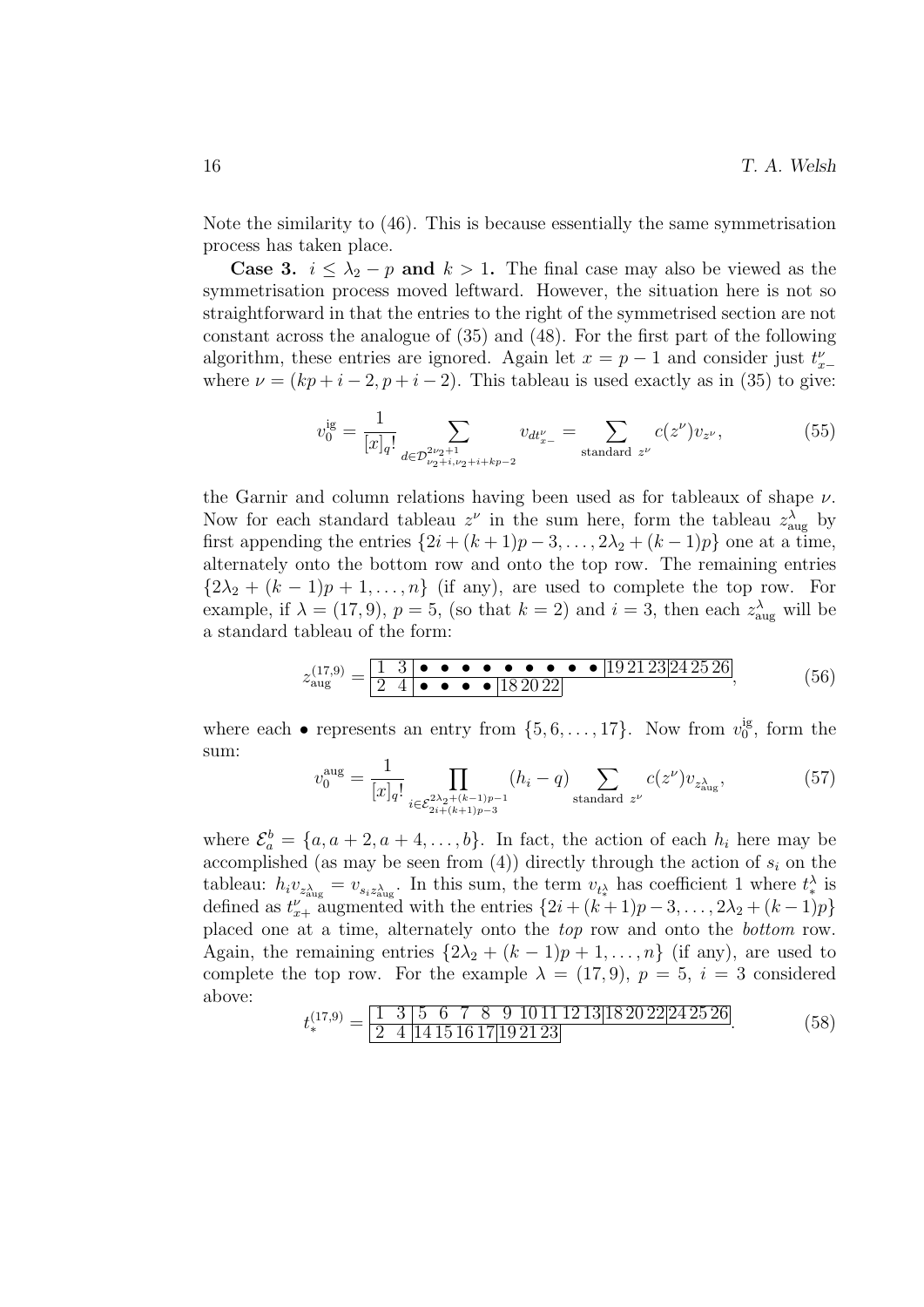Note the similarity to (46). This is because essentially the same symmetrisation process has taken place.

**Case 3.**  $i \leq \lambda_2 - p$  and  $k > 1$ . The final case may also be viewed as the symmetrisation process moved leftward. However, the situation here is not so straightforward in that the entries to the right of the symmetrised section are not constant across the analogue of (35) and (48). For the first part of the following algorithm, these entries are ignored. Again let  $x = p - 1$  and consider just  $t_{x-}^{\nu}$ where  $\nu = (kp + i - 2, p + i - 2)$ . This tableau is used exactly as in (35) to give:

$$
v_0^{\text{ig}} = \frac{1}{[x]_q!} \sum_{d \in \mathcal{D}_{\nu_2 + i, \nu_2 + i + k p - 2}^{2\nu_2 + 1}} v_{dt_{x-}^{\nu}} = \sum_{\text{standard } z^{\nu}} c(z^{\nu}) v_{z^{\nu}},
$$
(55)

the Garnir and column relations having been used as for tableaux of shape  $\nu$ . Now for each standard tableau  $z^{\nu}$  in the sum here, form the tableau  $z_{\text{aug}}^{\lambda}$  by first appending the entries  $\{2i + (k+1)p-3,\ldots,2\lambda_2+(k-1)p\}$  one at a time, alternately onto the bottom row and onto the top row. The remaining entries  ${2\lambda_2 + (k-1)p + 1, \ldots, n}$  (if any), are used to complete the top row. For example, if  $\lambda = (17, 9)$ ,  $p = 5$ , (so that  $k = 2$ ) and  $i = 3$ , then each  $z_{\text{aug}}^{\lambda}$  will be a standard tableau of the form:

z (17,9) aug = 1 3 • • • • • • • • • 19 21 23 24 25 26 2 4 • • • • 18 20 22 , (56)

where each  $\bullet$  represents an entry from  $\{5, 6, \ldots, 17\}$ . Now from  $v_0^{\text{ig}}$  $_{0}^{\mathrm{lg}}$ , form the sum:

$$
v_0^{\text{aug}} = \frac{1}{[x]_q!} \prod_{i \in \mathcal{E}_{2i + (k+1)p-3}^{2\lambda_2 + (k-1)p-1}} (h_i - q) \sum_{\text{standard } z^{\nu}} c(z^{\nu}) v_{z_{\text{aug}}^{\lambda}}, \tag{57}
$$

where  $\mathcal{E}_a^b = \{a, a+2, a+4, \ldots, b\}$ . In fact, the action of each  $h_i$  here may be accomplished (as may be seen from  $(4)$ ) directly through the action of  $s_i$  on the tableau:  $h_i v_{z_{\text{aug}}^{\lambda}} = v_{s_i z_{\text{aug}}^{\lambda}}$ . In this sum, the term  $v_{t_*^{\lambda}}$  has coefficient 1 where  $t_*^{\lambda}$  is defined as  $t_{x+}^{\nu}$  augmented with the entries  $\{2i + (k+1)p-3,\ldots,2\lambda_2+(k-1)p\}$ placed one at a time, alternately onto the top row and onto the bottom row. Again, the remaining entries  $\{2\lambda_2 + (k-1)p+1,\ldots,n\}$  (if any), are used to complete the top row. For the example  $\lambda = (17, 9), p = 5, i = 3$  considered above:

$$
t_*^{(17,9)} = \frac{1 \ 3 \ 5 \ 6 \ 7 \ 8 \ 9 \ 10111213[182022[242526]}{2 \ 4 \ 14151617[192123]}
$$
(58)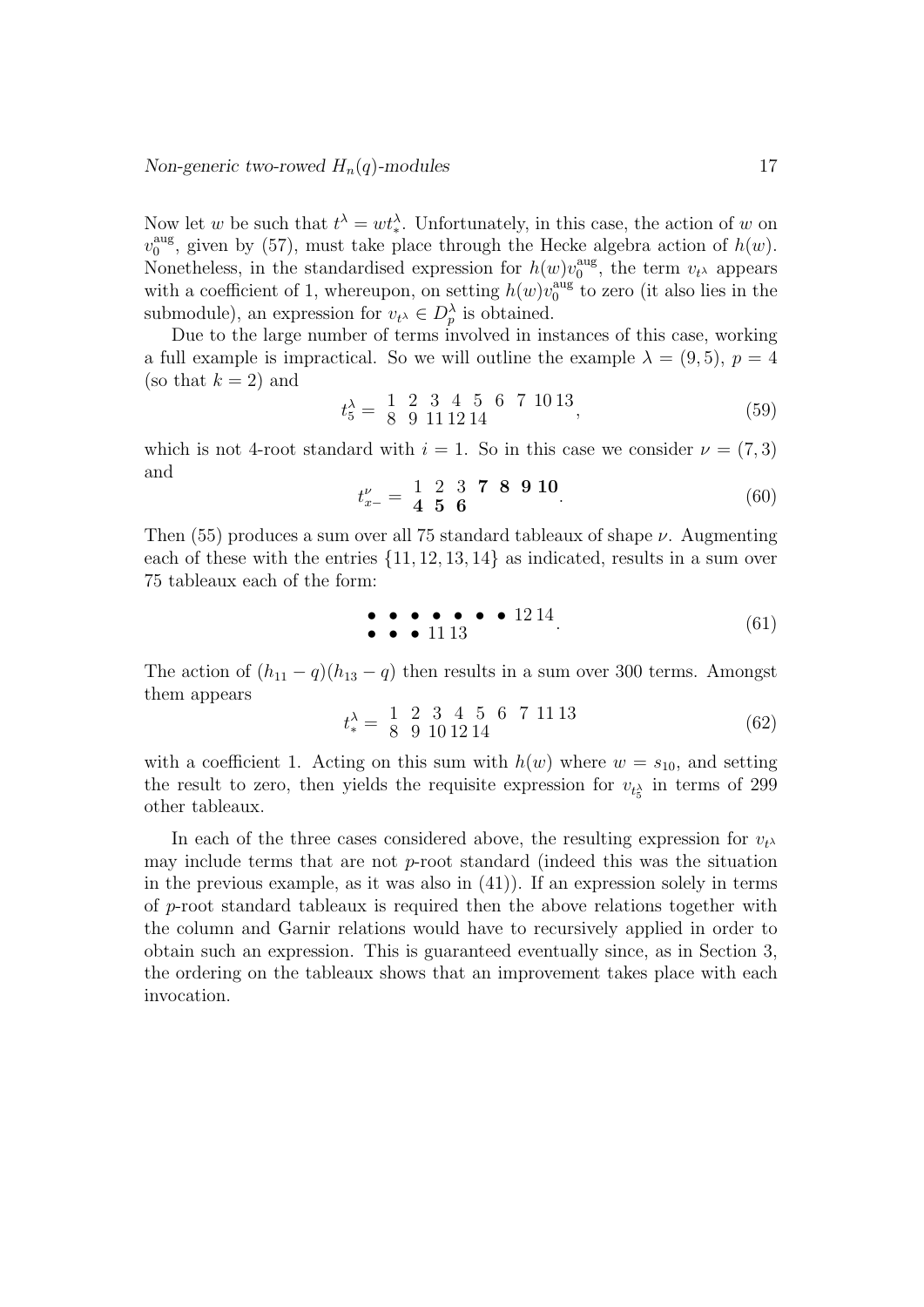Now let w be such that  $t^{\lambda} = wt^{\lambda}_{*}$ . Unfortunately, in this case, the action of w on  $v_0^{\text{aug}}$ , given by (57), must take place through the Hecke algebra action of  $h(w)$ .  $\overline{0}$ Nonetheless, in the standardised expression for  $h(w)v_0^{\text{aug}}$  $v_0^{\text{aug}},$  the term  $v_t$  appears with a coefficient of 1, whereupon, on setting  $h(w)v_0^{\text{aug}}$  $_{0}^{\text{aug}}$  to zero (it also lies in the submodule), an expression for  $v_{t^{\lambda}} \in D_p^{\lambda}$  is obtained.

Due to the large number of terms involved in instances of this case, working a full example is impractical. So we will outline the example  $\lambda = (9, 5)$ ,  $p = 4$ (so that  $k = 2$ ) and

$$
t_5^{\lambda} = \begin{bmatrix} 1 & 2 & 3 & 4 & 5 & 6 & 7 & 10 & 13 \\ 8 & 9 & 1 & 1 & 1 & 2 & 14 & 9 \end{bmatrix},
$$
(59)

which is not 4-root standard with  $i = 1$ . So in this case we consider  $\nu = (7, 3)$ and

$$
t_{x-}^{\nu} = \begin{array}{ccc} 1 & 2 & 3 & \textbf{7} & \textbf{8} & \textbf{9} & \textbf{10} \\ \textbf{4} & \textbf{5} & \textbf{6} & & \\ 0 & 0 & 0 & 0 & \\ 0 & 0 & 0 & 0 & 0 \\ 0 & 0 & 0 & 0 & 0 \\ 0 & 0 & 0 & 0 & 0 \\ 0 & 0 & 0 & 0 & 0 \\ 0 & 0 & 0 & 0 & 0 \\ 0 & 0 & 0 & 0 & 0 \\ 0 & 0 & 0 & 0 & 0 \\ 0 & 0 & 0 & 0 & 0 \\ 0 & 0 & 0 & 0 & 0 \\ 0 & 0 & 0 & 0 & 0 \\ 0 & 0 & 0 & 0 & 0 & 0 \\ 0 & 0 & 0 & 0 & 0 & 0 \\ 0 & 0 & 0 & 0 & 0 & 0 \\ 0 & 0 & 0 & 0 & 0 & 0 \\ 0 & 0 & 0 & 0 & 0 & 0 \\ 0 & 0 & 0 & 0 & 0 & 0 & 0 \\ 0 & 0 & 0 & 0 & 0 & 0 & 0 \\ 0 & 0 & 0 & 0 & 0 & 0 & 0 \\ 0 & 0 & 0 & 0 & 0 & 0 & 0 \\ 0 & 0 & 0 & 0 & 0 & 0 & 0 \\ 0 & 0 & 0 & 0 & 0 & 0 & 0 \\ 0 & 0 & 0 & 0 & 0 & 0 & 0 \\ 0 & 0 & 0 & 0 & 0 & 0 & 0 \\ 0 & 0 & 0 & 0 & 0 & 0 & 0 \\ 0 & 0 & 0 & 0 & 0 & 0 & 0 \\ 0 & 0 & 0 & 0 & 0 & 0 & 0 \\ 0 & 0 & 0 & 0 & 0 & 0 & 0 \\ 0 & 0 & 0 & 0 & 0 & 0 & 0 \\ 0 & 0 & 0 & 0 & 0 & 0 & 0 \\ 0 & 0 & 0 & 0 & 0 & 0 & 0 \\ 0 & 0 & 0 & 0 & 0 & 0 & 0 \\ 0 & 0 & 0 & 0 & 0 & 0 & 0 \\ 0 & 0 & 0 & 0 & 0 & 0 & 0 \\ 0 & 0 & 0 & 0 & 0 & 0 & 0 \\ 0 & 0 & 0 & 0 & 0 & 0 & 0 \\ 0 & 0 & 0
$$

Then  $(55)$  produces a sum over all 75 standard tableaux of shape  $\nu$ . Augmenting each of these with the entries  $\{11, 12, 13, 14\}$  as indicated, results in a sum over 75 tableaux each of the form:

$$
\bullet \bullet \bullet \bullet \bullet \bullet \bullet 1214
$$
\n
$$
\bullet \bullet 1113
$$
\n
$$
\tag{61}
$$

The action of  $(h_{11} - q)(h_{13} - q)$  then results in a sum over 300 terms. Amongst them appears

$$
t_*^{\lambda} = \begin{bmatrix} 1 & 2 & 3 & 4 & 5 & 6 & 7 & 11 & 13 \\ 8 & 9 & 10 & 12 & 14 & & \end{bmatrix}
$$
 (62)

with a coefficient 1. Acting on this sum with  $h(w)$  where  $w = s_{10}$ , and setting the result to zero, then yields the requisite expression for  $v_{t_{\mathcal{S}}^{\lambda}}$  in terms of 299 other tableaux.

In each of the three cases considered above, the resulting expression for  $v_t$ , may include terms that are not p-root standard (indeed this was the situation in the previous example, as it was also in (41)). If an expression solely in terms of p-root standard tableaux is required then the above relations together with the column and Garnir relations would have to recursively applied in order to obtain such an expression. This is guaranteed eventually since, as in Section 3, the ordering on the tableaux shows that an improvement takes place with each invocation.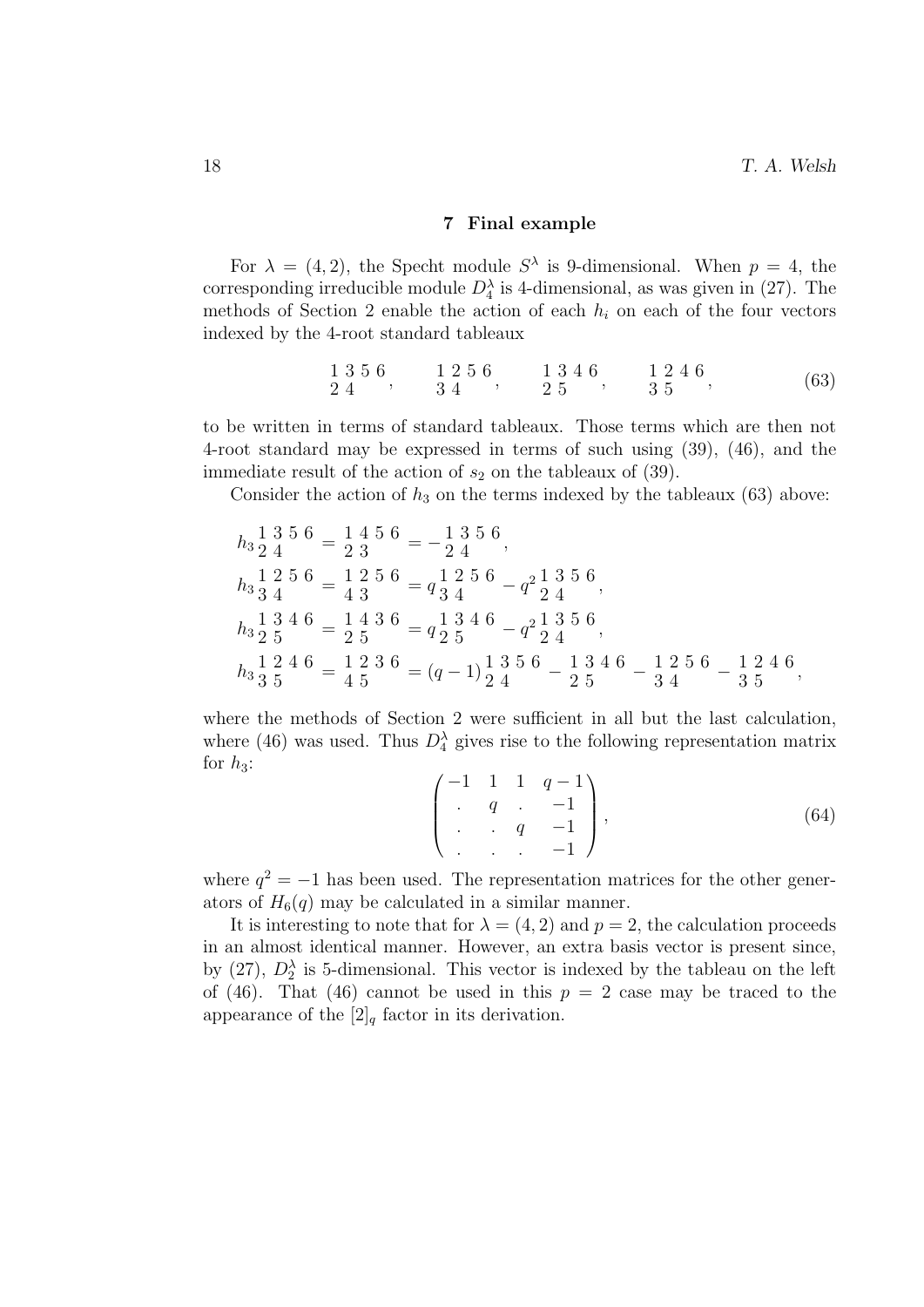#### 7 Final example

For  $\lambda = (4, 2)$ , the Specht module  $S^{\lambda}$  is 9-dimensional. When  $p = 4$ , the corresponding irreducible module  $D_4^{\lambda}$  is 4-dimensional, as was given in (27). The methods of Section 2 enable the action of each  $h_i$  on each of the four vectors indexed by the 4-root standard tableaux

$$
\begin{array}{ccccccccc}\n1 & 3 & 5 & 6 & 1 & 2 & 5 & 6 \\
2 & 4 & 3 & 4 & 2 & 5\n\end{array},\n\begin{array}{ccccccccc}\n1 & 3 & 4 & 6 & 1 & 2 & 4 & 6 \\
2 & 5 & 3 & 5 & 5 & 6\n\end{array},\n\tag{63}
$$

to be written in terms of standard tableaux. Those terms which are then not 4-root standard may be expressed in terms of such using (39), (46), and the immediate result of the action of  $s_2$  on the tableaux of (39).

Consider the action of  $h_3$  on the terms indexed by the tableaux (63) above:

$$
h_3 \frac{1}{2} \frac{3}{4} \frac{5}{4} \frac{6}{2} = \frac{1}{2} \frac{4}{3} \frac{5}{4} \frac{6}{2} = -\frac{1}{2} \frac{3}{4} \frac{5}{4} \frac{6}{2} = -\frac{1}{2} \frac{2}{4} \frac{5}{4} \frac{6}{2} = \frac{1}{4} \frac{2}{3} \frac{5}{4} \frac{6}{4} = \frac{1}{4} \frac{2}{3} \frac{5}{4} \frac{6}{4} = \frac{1}{4} \frac{4}{3} \frac{3}{4} \frac{6}{4} = \frac{1}{4} \frac{3}{4} \frac{3}{4} \frac{6}{4} = \frac{1}{4} \frac{3}{2} \frac{3}{4} \frac{6}{4} = \frac{1}{4} \frac{2}{5} \frac{3}{4} \frac{6}{4} = \frac{1}{4} \frac{2}{5} \frac{3}{4} \frac{6}{4} = \frac{1}{4} \frac{2}{5} \frac{3}{4} \frac{6}{4} = \frac{1}{4} \frac{3}{5} \frac{3}{4} \frac{6}{4} = \frac{1}{4} \frac{3}{5} \frac{3}{4} \frac{6}{4} = \frac{1}{4} \frac{2}{5} \frac{3}{4} \frac{6}{4} = \frac{1}{4} \frac{2}{5} \frac{3}{4} \frac{6}{4} = \frac{1}{4} \frac{2}{5} \frac{3}{4} \frac{6}{4} = \frac{1}{4} \frac{2}{5} \frac{3}{4} \frac{6}{4} = \frac{1}{4} \frac{2}{5} \frac{1}{4} \frac{6}{4} = \frac{1}{4} \frac{1}{5} \frac{3}{4} \frac{6}{4} = \frac{1}{4} \frac{1}{5} \frac{3}{4} \frac{6}{4} = \frac{1}{4} \frac{1}{5} \frac{3}{4} \frac{6}{4} = \frac{1}{4} \frac{1}{5} \frac{3}{4} \frac{6}{4} = \frac{1}{4} \frac{1}{5} \frac{3}{4} \frac{6}{4} = \frac{1}{4} \frac{1}{5} \frac{3}{4} \frac{6}{4} = \frac{1}{4} \frac{1}{5} \frac{3}{4} \frac{6}{4} =
$$

where the methods of Section 2 were sufficient in all but the last calculation, where (46) was used. Thus  $D_4^{\lambda}$  gives rise to the following representation matrix for  $h_3$ :

$$
\begin{pmatrix} -1 & 1 & 1 & q-1 \\ \cdot & q & \cdot & -1 \\ \cdot & \cdot & q & -1 \\ \cdot & \cdot & \cdot & -1 \end{pmatrix}, \tag{64}
$$

where  $q^2 = -1$  has been used. The representation matrices for the other generators of  $H_6(q)$  may be calculated in a similar manner.

It is interesting to note that for  $\lambda = (4, 2)$  and  $p = 2$ , the calculation proceeds in an almost identical manner. However, an extra basis vector is present since, by (27),  $D_2^{\lambda}$  is 5-dimensional. This vector is indexed by the tableau on the left of (46). That (46) cannot be used in this  $p = 2$  case may be traced to the appearance of the  $[2]_q$  factor in its derivation.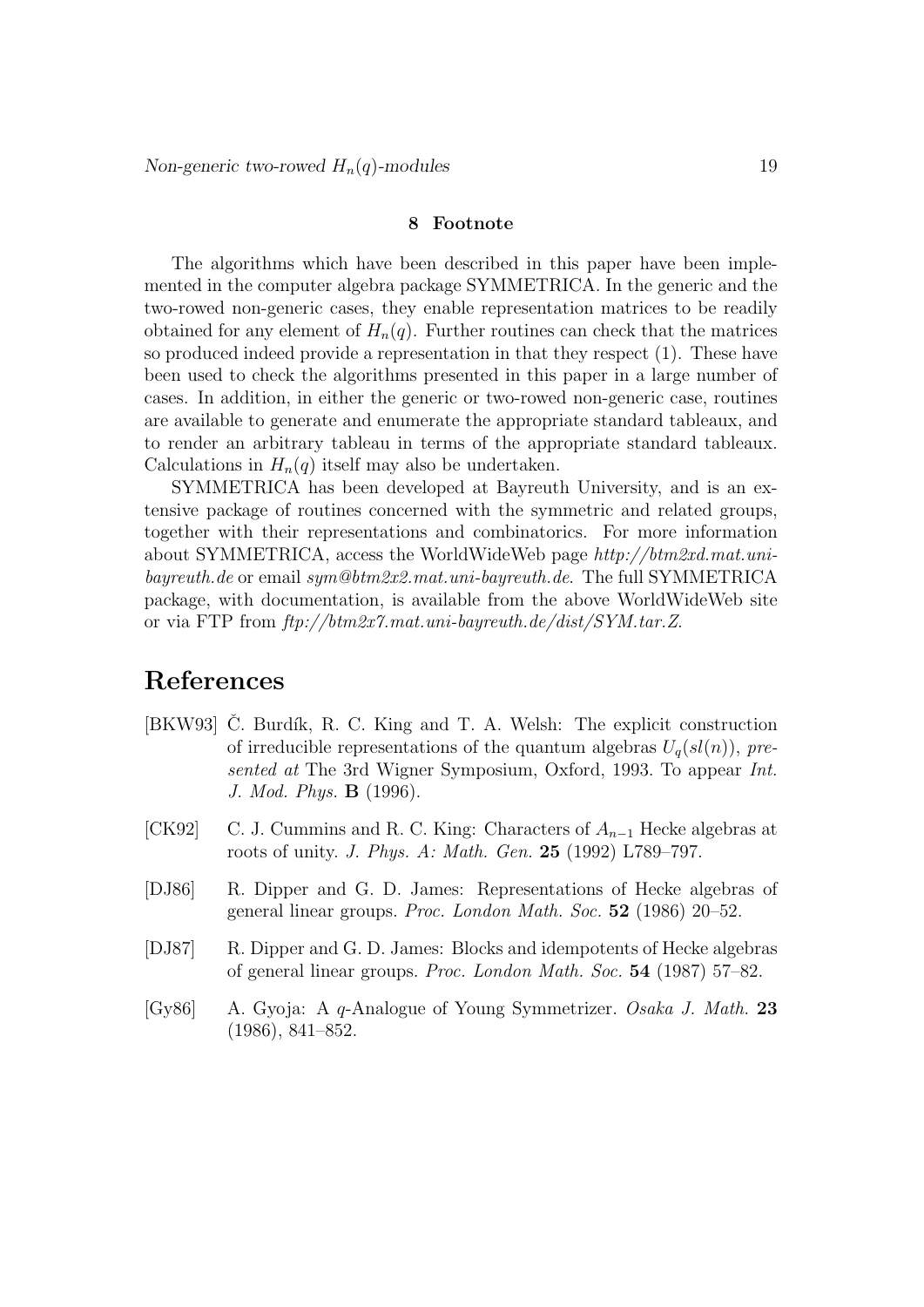#### 8 Footnote

The algorithms which have been described in this paper have been implemented in the computer algebra package SYMMETRICA. In the generic and the two-rowed non-generic cases, they enable representation matrices to be readily obtained for any element of  $H_n(q)$ . Further routines can check that the matrices so produced indeed provide a representation in that they respect (1). These have been used to check the algorithms presented in this paper in a large number of cases. In addition, in either the generic or two-rowed non-generic case, routines are available to generate and enumerate the appropriate standard tableaux, and to render an arbitrary tableau in terms of the appropriate standard tableaux. Calculations in  $H_n(q)$  itself may also be undertaken.

SYMMETRICA has been developed at Bayreuth University, and is an extensive package of routines concerned with the symmetric and related groups, together with their representations and combinatorics. For more information about SYMMETRICA, access the WorldWideWeb page http://btm2xd.mat.unibayreuth.de or email sym@btm2x2.mat.uni-bayreuth.de. The full SYMMETRICA package, with documentation, is available from the above WorldWideWeb site or via FTP from ftp://btm2x7.mat.uni-bayreuth.de/dist/SYM.tar.Z.

# References

- [BKW93] C. Burdík, R. C. King and T. A. Welsh: The explicit construction of irreducible representations of the quantum algebras  $U_q(sl(n))$ , presented at The 3rd Wigner Symposium, Oxford, 1993. To appear Int. J. Mod. Phys. B (1996).
- [CK92] C. J. Cummins and R. C. King: Characters of  $A_{n-1}$  Hecke algebras at roots of unity. J. Phys. A: Math. Gen. 25 (1992) L789–797.
- [DJ86] R. Dipper and G. D. James: Representations of Hecke algebras of general linear groups. Proc. London Math. Soc. 52 (1986) 20–52.
- [DJ87] R. Dipper and G. D. James: Blocks and idempotents of Hecke algebras of general linear groups. Proc. London Math. Soc. 54 (1987) 57–82.
- [Gy86] A. Gyoja: A q-Analogue of Young Symmetrizer. Osaka J. Math. 23 (1986), 841–852.